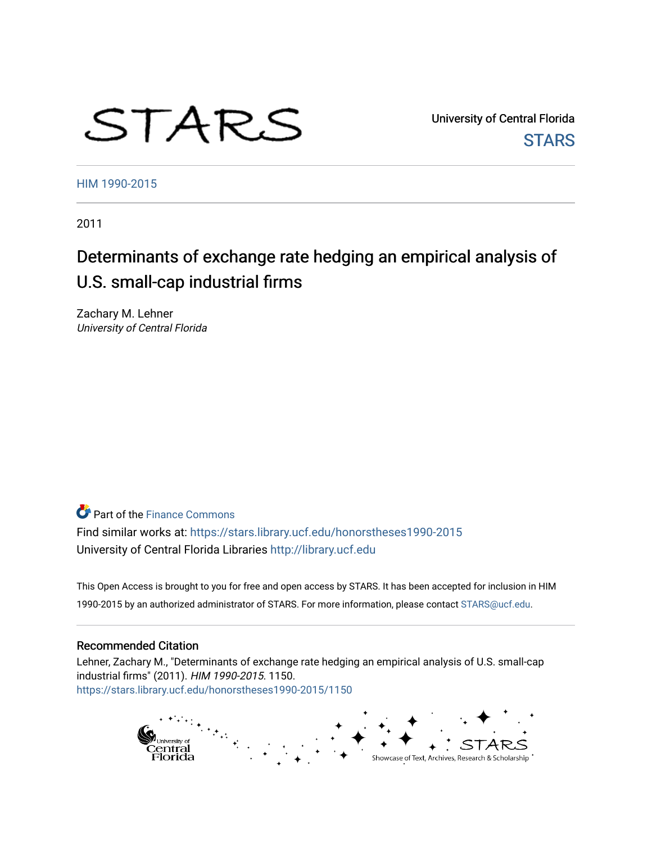# STARS

University of Central Florida **STARS** 

[HIM 1990-2015](https://stars.library.ucf.edu/honorstheses1990-2015) 

2011

# Determinants of exchange rate hedging an empirical analysis of U.S. small-cap industrial firms

Zachary M. Lehner University of Central Florida

**Part of the Finance Commons** 

Find similar works at: <https://stars.library.ucf.edu/honorstheses1990-2015> University of Central Florida Libraries [http://library.ucf.edu](http://library.ucf.edu/) 

This Open Access is brought to you for free and open access by STARS. It has been accepted for inclusion in HIM 1990-2015 by an authorized administrator of STARS. For more information, please contact [STARS@ucf.edu](mailto:STARS@ucf.edu).

#### Recommended Citation

Lehner, Zachary M., "Determinants of exchange rate hedging an empirical analysis of U.S. small-cap industrial firms" (2011). HIM 1990-2015. 1150. [https://stars.library.ucf.edu/honorstheses1990-2015/1150](https://stars.library.ucf.edu/honorstheses1990-2015/1150?utm_source=stars.library.ucf.edu%2Fhonorstheses1990-2015%2F1150&utm_medium=PDF&utm_campaign=PDFCoverPages) 

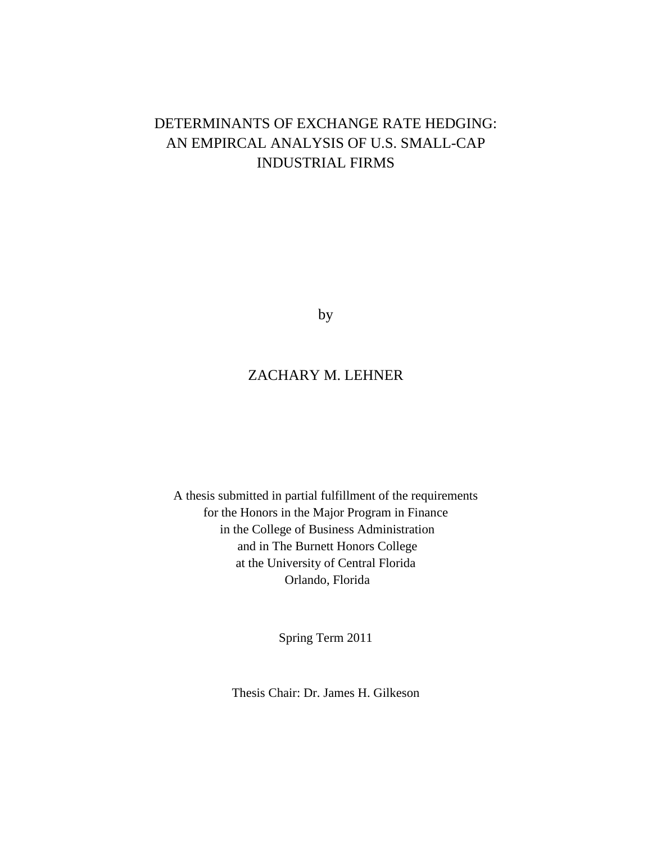# DETERMINANTS OF EXCHANGE RATE HEDGING: AN EMPIRCAL ANALYSIS OF U.S. SMALL-CAP INDUSTRIAL FIRMS

by

## ZACHARY M. LEHNER

A thesis submitted in partial fulfillment of the requirements for the Honors in the Major Program in Finance in the College of Business Administration and in The Burnett Honors College at the University of Central Florida Orlando, Florida

Spring Term 2011

Thesis Chair: Dr. James H. Gilkeson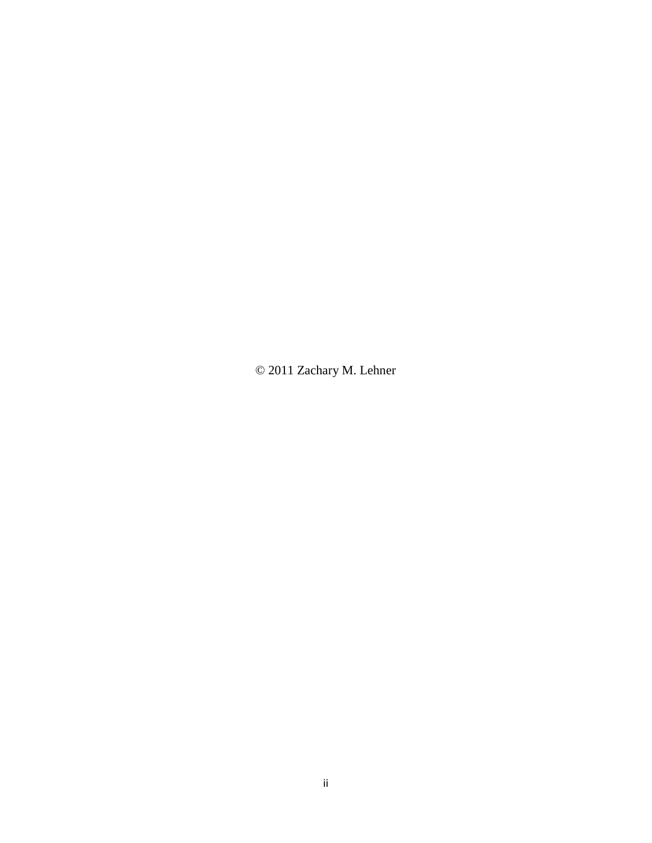© 2011 Zachary M. Lehner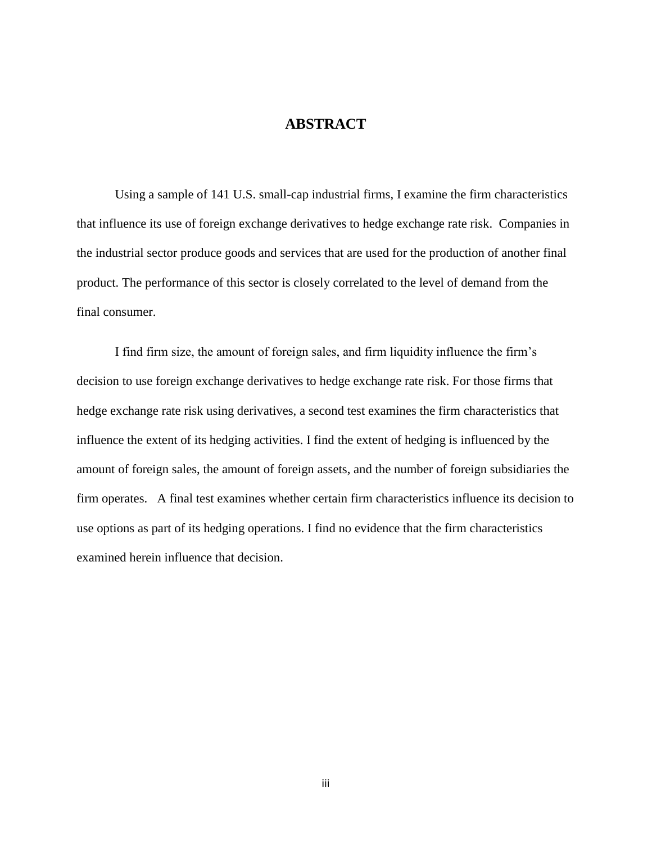#### **ABSTRACT**

Using a sample of 141 U.S. small-cap industrial firms, I examine the firm characteristics that influence its use of foreign exchange derivatives to hedge exchange rate risk. Companies in the industrial sector produce goods and services that are used for the production of another final product. The performance of this sector is closely correlated to the level of demand from the final consumer.

I find firm size, the amount of foreign sales, and firm liquidity influence the firm"s decision to use foreign exchange derivatives to hedge exchange rate risk. For those firms that hedge exchange rate risk using derivatives, a second test examines the firm characteristics that influence the extent of its hedging activities. I find the extent of hedging is influenced by the amount of foreign sales, the amount of foreign assets, and the number of foreign subsidiaries the firm operates. A final test examines whether certain firm characteristics influence its decision to use options as part of its hedging operations. I find no evidence that the firm characteristics examined herein influence that decision.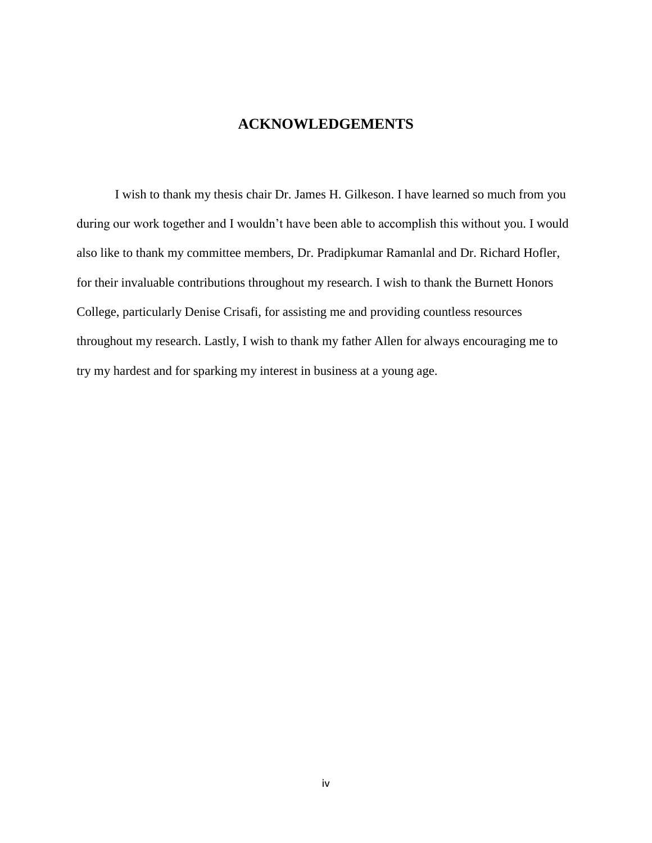#### **ACKNOWLEDGEMENTS**

I wish to thank my thesis chair Dr. James H. Gilkeson. I have learned so much from you during our work together and I wouldn"t have been able to accomplish this without you. I would also like to thank my committee members, Dr. Pradipkumar Ramanlal and Dr. Richard Hofler, for their invaluable contributions throughout my research. I wish to thank the Burnett Honors College, particularly Denise Crisafi, for assisting me and providing countless resources throughout my research. Lastly, I wish to thank my father Allen for always encouraging me to try my hardest and for sparking my interest in business at a young age.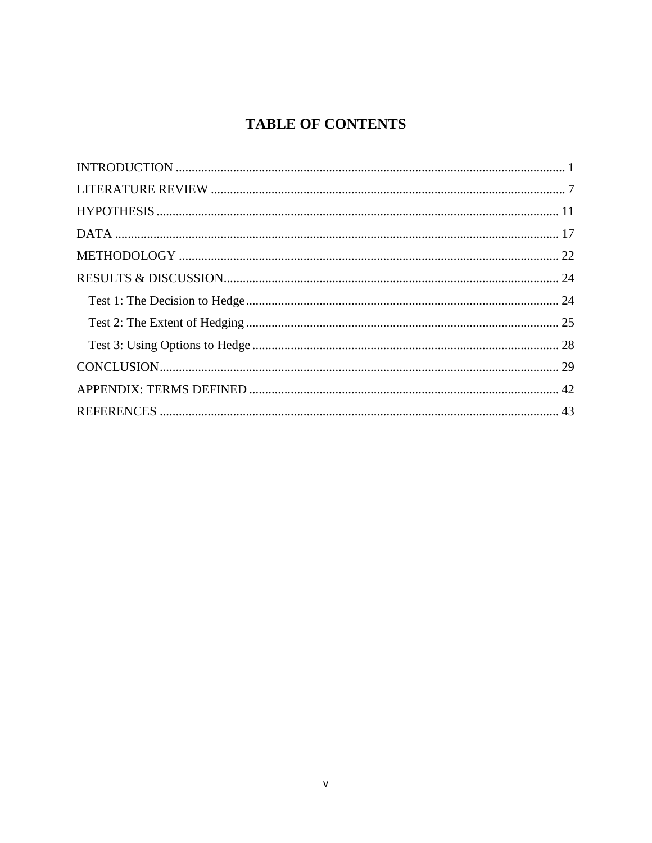# **TABLE OF CONTENTS**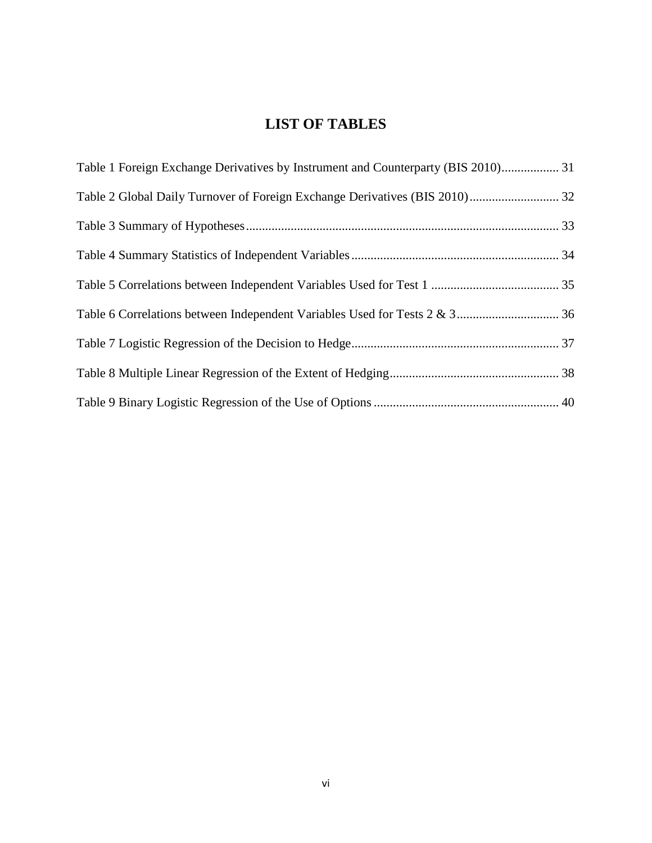## **LIST OF TABLES**

| Table 1 Foreign Exchange Derivatives by Instrument and Counterparty (BIS 2010) 31 |  |
|-----------------------------------------------------------------------------------|--|
|                                                                                   |  |
|                                                                                   |  |
|                                                                                   |  |
|                                                                                   |  |
|                                                                                   |  |
|                                                                                   |  |
|                                                                                   |  |
|                                                                                   |  |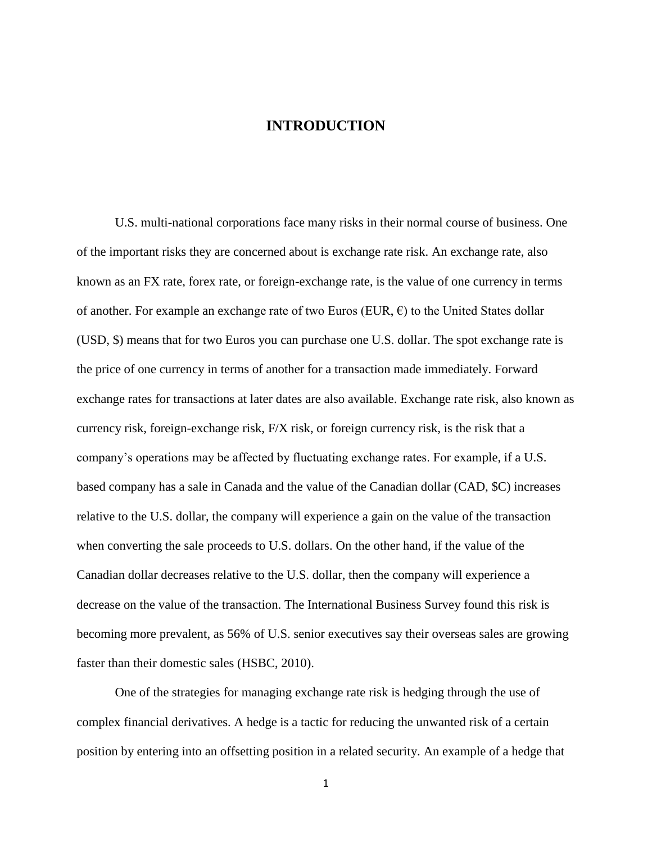#### **INTRODUCTION**

<span id="page-7-0"></span>U.S. multi-national corporations face many risks in their normal course of business. One of the important risks they are concerned about is exchange rate risk. An exchange rate, also known as an FX rate, forex rate, or foreign-exchange rate, is the value of one currency in terms of another. For example an exchange rate of two Euros (EUR,  $\epsilon$ ) to the United States dollar (USD, \$) means that for two Euros you can purchase one U.S. dollar. The spot exchange rate is the price of one currency in terms of another for a transaction made immediately. Forward exchange rates for transactions at later dates are also available. Exchange rate risk, also known as currency risk, foreign-exchange risk, F/X risk, or foreign currency risk, is the risk that a company"s operations may be affected by fluctuating exchange rates. For example, if a U.S. based company has a sale in Canada and the value of the Canadian dollar (CAD, \$C) increases relative to the U.S. dollar, the company will experience a gain on the value of the transaction when converting the sale proceeds to U.S. dollars. On the other hand, if the value of the Canadian dollar decreases relative to the U.S. dollar, then the company will experience a decrease on the value of the transaction. The International Business Survey found this risk is becoming more prevalent, as 56% of U.S. senior executives say their overseas sales are growing faster than their domestic sales (HSBC, 2010).

One of the strategies for managing exchange rate risk is hedging through the use of complex financial derivatives. A hedge is a tactic for reducing the unwanted risk of a certain position by entering into an offsetting position in a related security. An example of a hedge that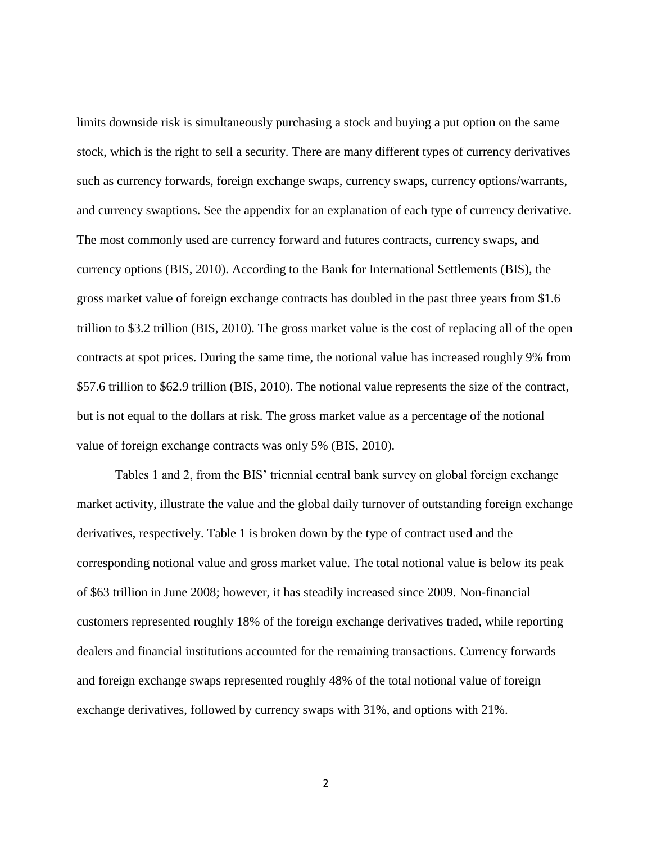limits downside risk is simultaneously purchasing a stock and buying a put option on the same stock, which is the right to sell a security. There are many different types of currency derivatives such as currency forwards, foreign exchange swaps, currency swaps, currency options/warrants, and currency swaptions. See the appendix for an explanation of each type of currency derivative. The most commonly used are currency forward and futures contracts, currency swaps, and currency options (BIS, 2010). According to the Bank for International Settlements (BIS), the gross market value of foreign exchange contracts has doubled in the past three years from \$1.6 trillion to \$3.2 trillion (BIS, 2010). The gross market value is the cost of replacing all of the open contracts at spot prices. During the same time, the notional value has increased roughly 9% from \$57.6 trillion to \$62.9 trillion (BIS, 2010). The notional value represents the size of the contract, but is not equal to the dollars at risk. The gross market value as a percentage of the notional value of foreign exchange contracts was only 5% (BIS, 2010).

Tables 1 and 2, from the BIS' triennial central bank survey on global foreign exchange market activity, illustrate the value and the global daily turnover of outstanding foreign exchange derivatives, respectively. Table 1 is broken down by the type of contract used and the corresponding notional value and gross market value. The total notional value is below its peak of \$63 trillion in June 2008; however, it has steadily increased since 2009. Non-financial customers represented roughly 18% of the foreign exchange derivatives traded, while reporting dealers and financial institutions accounted for the remaining transactions. Currency forwards and foreign exchange swaps represented roughly 48% of the total notional value of foreign exchange derivatives, followed by currency swaps with 31%, and options with 21%.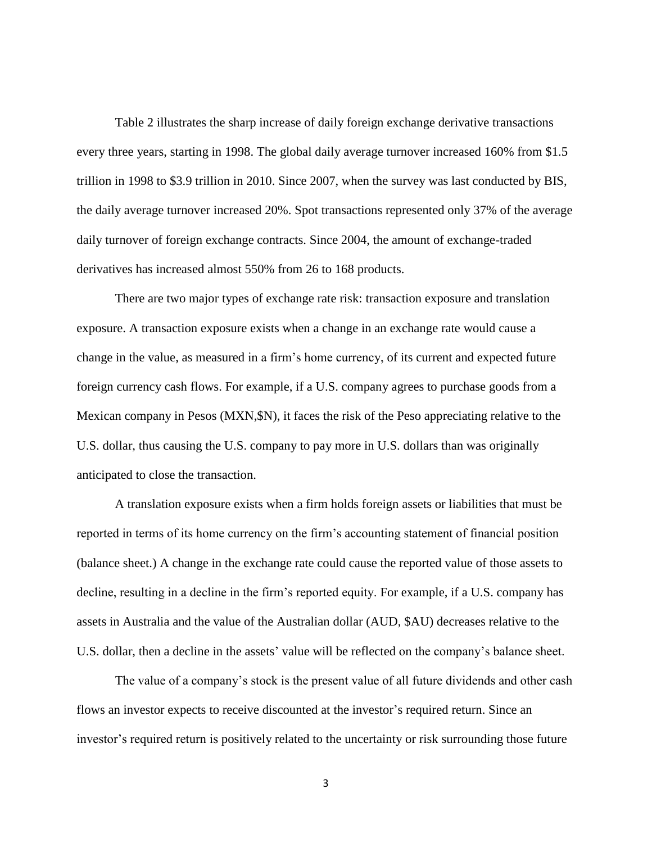Table 2 illustrates the sharp increase of daily foreign exchange derivative transactions every three years, starting in 1998. The global daily average turnover increased 160% from \$1.5 trillion in 1998 to \$3.9 trillion in 2010. Since 2007, when the survey was last conducted by BIS, the daily average turnover increased 20%. Spot transactions represented only 37% of the average daily turnover of foreign exchange contracts. Since 2004, the amount of exchange-traded derivatives has increased almost 550% from 26 to 168 products.

There are two major types of exchange rate risk: transaction exposure and translation exposure. A transaction exposure exists when a change in an exchange rate would cause a change in the value, as measured in a firm"s home currency, of its current and expected future foreign currency cash flows. For example, if a U.S. company agrees to purchase goods from a Mexican company in Pesos (MXN,\$N), it faces the risk of the Peso appreciating relative to the U.S. dollar, thus causing the U.S. company to pay more in U.S. dollars than was originally anticipated to close the transaction.

A translation exposure exists when a firm holds foreign assets or liabilities that must be reported in terms of its home currency on the firm"s accounting statement of financial position (balance sheet.) A change in the exchange rate could cause the reported value of those assets to decline, resulting in a decline in the firm's reported equity. For example, if a U.S. company has assets in Australia and the value of the Australian dollar (AUD, \$AU) decreases relative to the U.S. dollar, then a decline in the assets' value will be reflected on the company's balance sheet.

The value of a company's stock is the present value of all future dividends and other cash flows an investor expects to receive discounted at the investor's required return. Since an investor's required return is positively related to the uncertainty or risk surrounding those future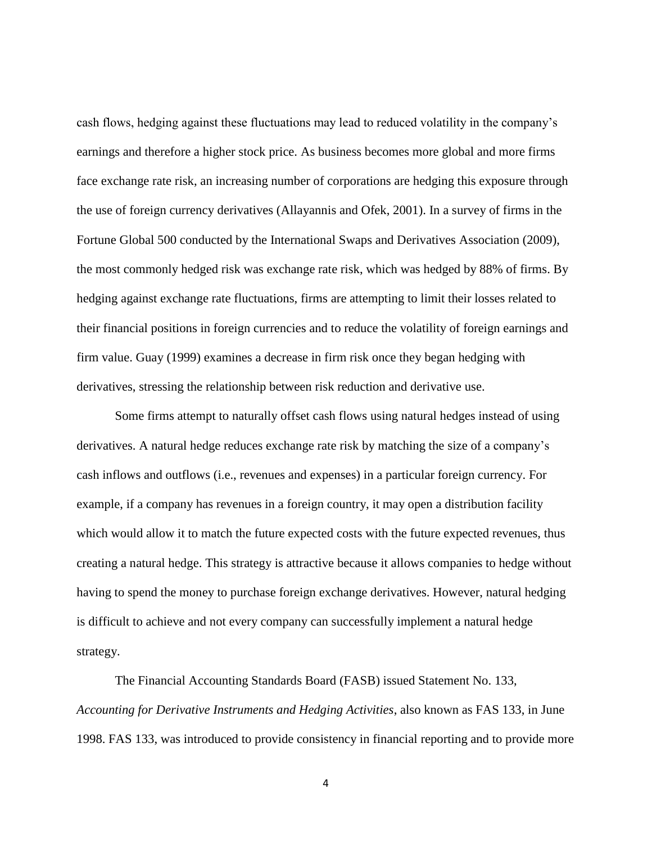cash flows, hedging against these fluctuations may lead to reduced volatility in the company"s earnings and therefore a higher stock price. As business becomes more global and more firms face exchange rate risk, an increasing number of corporations are hedging this exposure through the use of foreign currency derivatives (Allayannis and Ofek, 2001). In a survey of firms in the Fortune Global 500 conducted by the International Swaps and Derivatives Association (2009), the most commonly hedged risk was exchange rate risk, which was hedged by 88% of firms. By hedging against exchange rate fluctuations, firms are attempting to limit their losses related to their financial positions in foreign currencies and to reduce the volatility of foreign earnings and firm value. Guay (1999) examines a decrease in firm risk once they began hedging with derivatives, stressing the relationship between risk reduction and derivative use.

Some firms attempt to naturally offset cash flows using natural hedges instead of using derivatives. A natural hedge reduces exchange rate risk by matching the size of a company"s cash inflows and outflows (i.e., revenues and expenses) in a particular foreign currency. For example, if a company has revenues in a foreign country, it may open a distribution facility which would allow it to match the future expected costs with the future expected revenues, thus creating a natural hedge. This strategy is attractive because it allows companies to hedge without having to spend the money to purchase foreign exchange derivatives. However, natural hedging is difficult to achieve and not every company can successfully implement a natural hedge strategy.

The Financial Accounting Standards Board (FASB) issued Statement No. 133, *Accounting for Derivative Instruments and Hedging Activities*, also known as FAS 133, in June 1998. FAS 133, was introduced to provide consistency in financial reporting and to provide more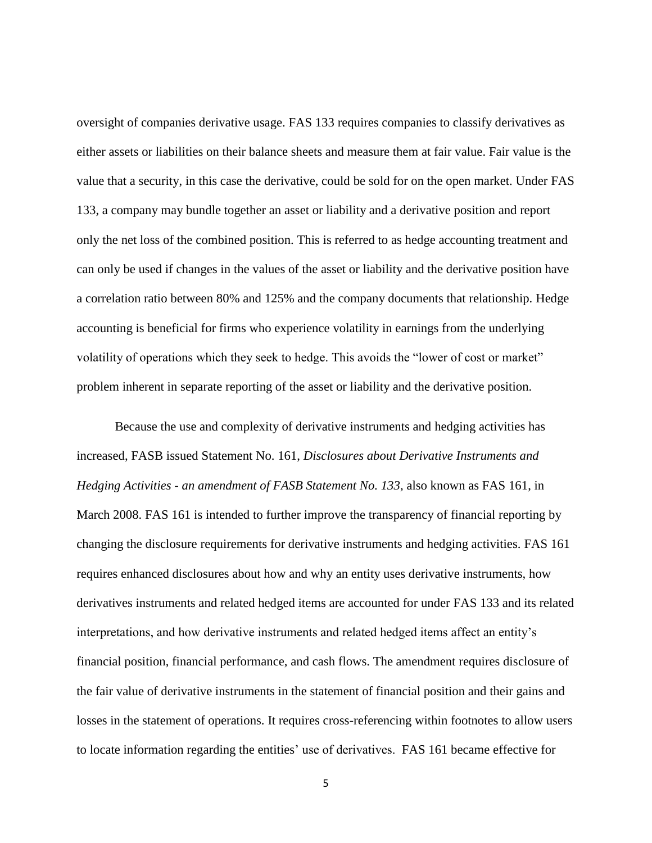oversight of companies derivative usage. FAS 133 requires companies to classify derivatives as either assets or liabilities on their balance sheets and measure them at fair value. Fair value is the value that a security, in this case the derivative, could be sold for on the open market. Under FAS 133, a company may bundle together an asset or liability and a derivative position and report only the net loss of the combined position. This is referred to as hedge accounting treatment and can only be used if changes in the values of the asset or liability and the derivative position have a correlation ratio between 80% and 125% and the company documents that relationship. Hedge accounting is beneficial for firms who experience volatility in earnings from the underlying volatility of operations which they seek to hedge. This avoids the "lower of cost or market" problem inherent in separate reporting of the asset or liability and the derivative position.

Because the use and complexity of derivative instruments and hedging activities has increased, FASB issued Statement No. 161, *Disclosures about Derivative Instruments and Hedging Activities - an amendment of FASB Statement No. 133*, also known as FAS 161, in March 2008. FAS 161 is intended to further improve the transparency of financial reporting by changing the disclosure requirements for derivative instruments and hedging activities. FAS 161 requires enhanced disclosures about how and why an entity uses derivative instruments, how derivatives instruments and related hedged items are accounted for under FAS 133 and its related interpretations, and how derivative instruments and related hedged items affect an entity"s financial position, financial performance, and cash flows. The amendment requires disclosure of the fair value of derivative instruments in the statement of financial position and their gains and losses in the statement of operations. It requires cross-referencing within footnotes to allow users to locate information regarding the entities" use of derivatives. FAS 161 became effective for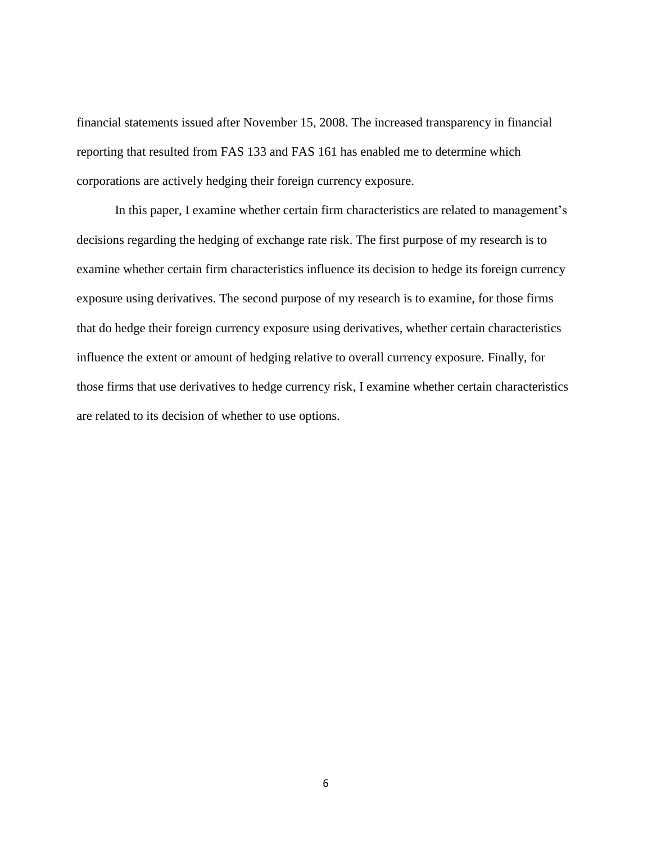financial statements issued after November 15, 2008. The increased transparency in financial reporting that resulted from FAS 133 and FAS 161 has enabled me to determine which corporations are actively hedging their foreign currency exposure.

In this paper, I examine whether certain firm characteristics are related to management's decisions regarding the hedging of exchange rate risk. The first purpose of my research is to examine whether certain firm characteristics influence its decision to hedge its foreign currency exposure using derivatives. The second purpose of my research is to examine, for those firms that do hedge their foreign currency exposure using derivatives, whether certain characteristics influence the extent or amount of hedging relative to overall currency exposure. Finally, for those firms that use derivatives to hedge currency risk, I examine whether certain characteristics are related to its decision of whether to use options.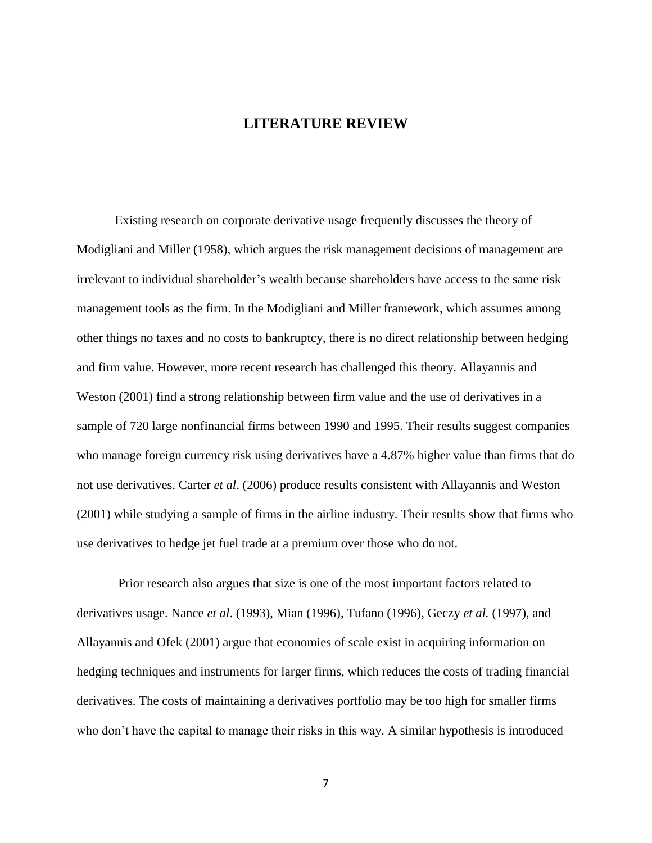#### **LITERATURE REVIEW**

<span id="page-13-0"></span>Existing research on corporate derivative usage frequently discusses the theory of Modigliani and Miller (1958), which argues the risk management decisions of management are irrelevant to individual shareholder"s wealth because shareholders have access to the same risk management tools as the firm. In the Modigliani and Miller framework, which assumes among other things no taxes and no costs to bankruptcy, there is no direct relationship between hedging and firm value. However, more recent research has challenged this theory. Allayannis and Weston (2001) find a strong relationship between firm value and the use of derivatives in a sample of 720 large nonfinancial firms between 1990 and 1995. Their results suggest companies who manage foreign currency risk using derivatives have a 4.87% higher value than firms that do not use derivatives. Carter *et al*. (2006) produce results consistent with Allayannis and Weston (2001) while studying a sample of firms in the airline industry. Their results show that firms who use derivatives to hedge jet fuel trade at a premium over those who do not.

Prior research also argues that size is one of the most important factors related to derivatives usage. Nance *et al*. (1993), Mian (1996), Tufano (1996), Geczy *et al.* (1997), and Allayannis and Ofek (2001) argue that economies of scale exist in acquiring information on hedging techniques and instruments for larger firms, which reduces the costs of trading financial derivatives. The costs of maintaining a derivatives portfolio may be too high for smaller firms who don"t have the capital to manage their risks in this way. A similar hypothesis is introduced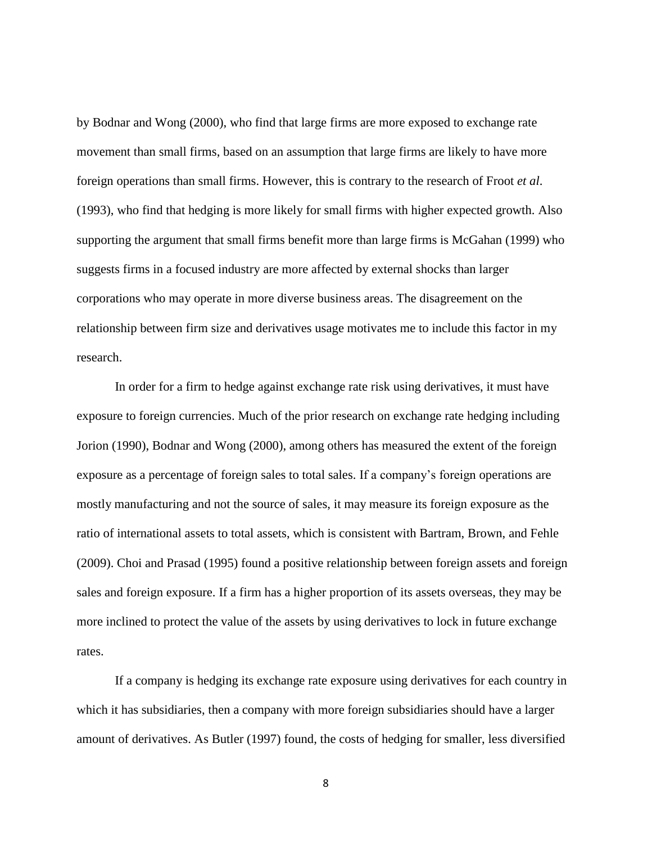by Bodnar and Wong (2000), who find that large firms are more exposed to exchange rate movement than small firms, based on an assumption that large firms are likely to have more foreign operations than small firms. However, this is contrary to the research of Froot *et al*. (1993), who find that hedging is more likely for small firms with higher expected growth. Also supporting the argument that small firms benefit more than large firms is McGahan (1999) who suggests firms in a focused industry are more affected by external shocks than larger corporations who may operate in more diverse business areas. The disagreement on the relationship between firm size and derivatives usage motivates me to include this factor in my research.

In order for a firm to hedge against exchange rate risk using derivatives, it must have exposure to foreign currencies. Much of the prior research on exchange rate hedging including Jorion (1990), Bodnar and Wong (2000), among others has measured the extent of the foreign exposure as a percentage of foreign sales to total sales. If a company"s foreign operations are mostly manufacturing and not the source of sales, it may measure its foreign exposure as the ratio of international assets to total assets, which is consistent with Bartram, Brown, and Fehle (2009). Choi and Prasad (1995) found a positive relationship between foreign assets and foreign sales and foreign exposure. If a firm has a higher proportion of its assets overseas, they may be more inclined to protect the value of the assets by using derivatives to lock in future exchange rates.

If a company is hedging its exchange rate exposure using derivatives for each country in which it has subsidiaries, then a company with more foreign subsidiaries should have a larger amount of derivatives. As Butler (1997) found, the costs of hedging for smaller, less diversified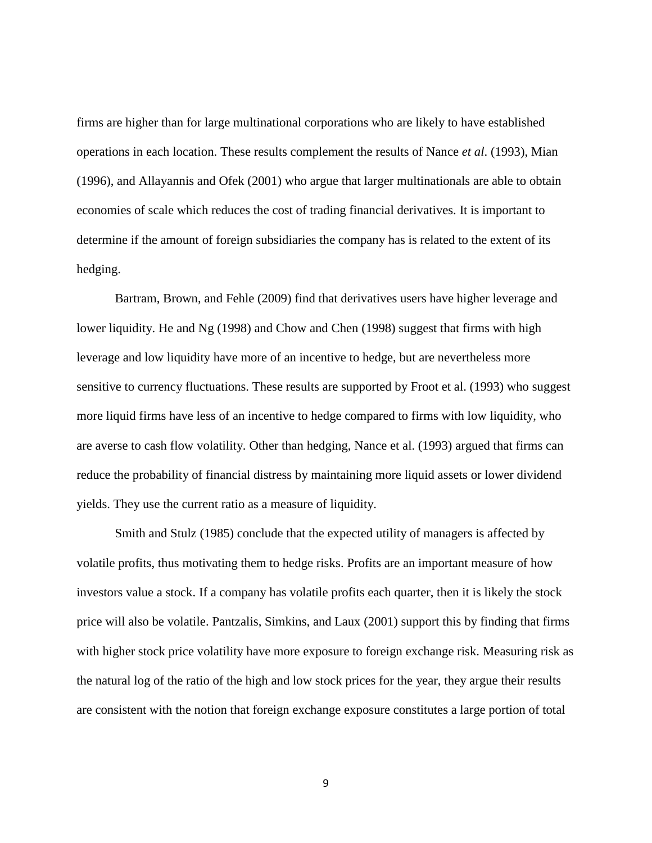firms are higher than for large multinational corporations who are likely to have established operations in each location. These results complement the results of Nance *et al*. (1993), Mian (1996), and Allayannis and Ofek (2001) who argue that larger multinationals are able to obtain economies of scale which reduces the cost of trading financial derivatives. It is important to determine if the amount of foreign subsidiaries the company has is related to the extent of its hedging.

Bartram, Brown, and Fehle (2009) find that derivatives users have higher leverage and lower liquidity. He and Ng (1998) and Chow and Chen (1998) suggest that firms with high leverage and low liquidity have more of an incentive to hedge, but are nevertheless more sensitive to currency fluctuations. These results are supported by Froot et al. (1993) who suggest more liquid firms have less of an incentive to hedge compared to firms with low liquidity, who are averse to cash flow volatility. Other than hedging, Nance et al. (1993) argued that firms can reduce the probability of financial distress by maintaining more liquid assets or lower dividend yields. They use the current ratio as a measure of liquidity.

Smith and Stulz (1985) conclude that the expected utility of managers is affected by volatile profits, thus motivating them to hedge risks. Profits are an important measure of how investors value a stock. If a company has volatile profits each quarter, then it is likely the stock price will also be volatile. Pantzalis, Simkins, and Laux (2001) support this by finding that firms with higher stock price volatility have more exposure to foreign exchange risk. Measuring risk as the natural log of the ratio of the high and low stock prices for the year, they argue their results are consistent with the notion that foreign exchange exposure constitutes a large portion of total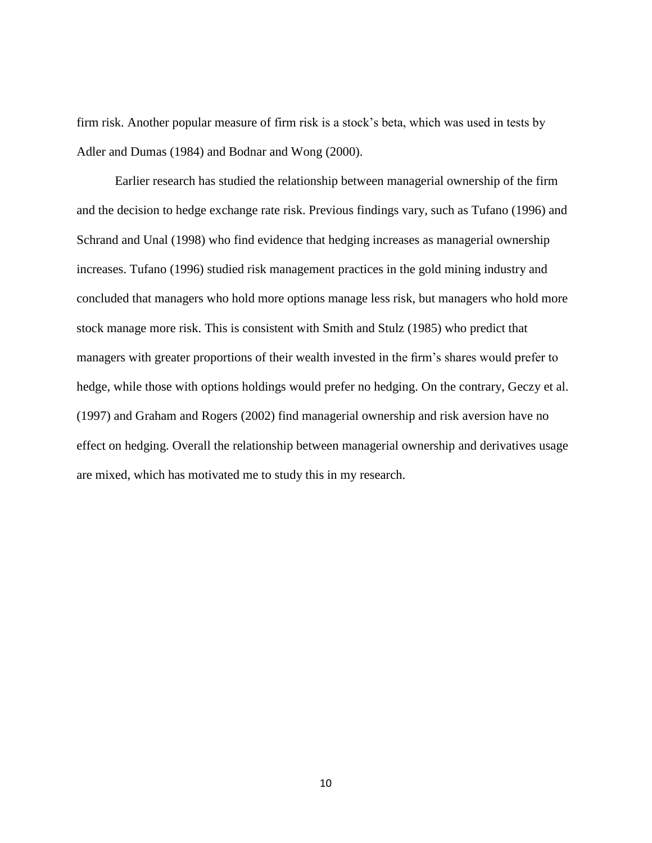firm risk. Another popular measure of firm risk is a stock"s beta, which was used in tests by Adler and Dumas (1984) and Bodnar and Wong (2000).

Earlier research has studied the relationship between managerial ownership of the firm and the decision to hedge exchange rate risk. Previous findings vary, such as Tufano (1996) and Schrand and Unal (1998) who find evidence that hedging increases as managerial ownership increases. Tufano (1996) studied risk management practices in the gold mining industry and concluded that managers who hold more options manage less risk, but managers who hold more stock manage more risk. This is consistent with Smith and Stulz (1985) who predict that managers with greater proportions of their wealth invested in the firm"s shares would prefer to hedge, while those with options holdings would prefer no hedging. On the contrary, Geczy et al. (1997) and Graham and Rogers (2002) find managerial ownership and risk aversion have no effect on hedging. Overall the relationship between managerial ownership and derivatives usage are mixed, which has motivated me to study this in my research.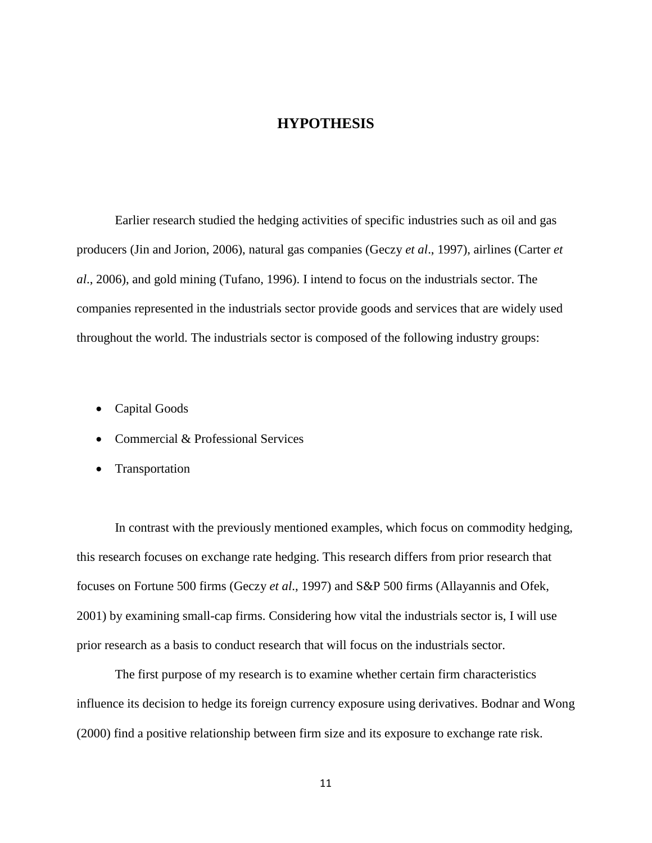#### **HYPOTHESIS**

<span id="page-17-0"></span>Earlier research studied the hedging activities of specific industries such as oil and gas producers (Jin and Jorion, 2006), natural gas companies (Geczy *et al*., 1997), airlines (Carter *et al*., 2006), and gold mining (Tufano, 1996). I intend to focus on the industrials sector. The companies represented in the industrials sector provide goods and services that are widely used throughout the world. The industrials sector is composed of the following industry groups:

- Capital Goods
- Commercial & Professional Services
- Transportation

In contrast with the previously mentioned examples, which focus on commodity hedging, this research focuses on exchange rate hedging. This research differs from prior research that focuses on Fortune 500 firms (Geczy *et al*., 1997) and S&P 500 firms (Allayannis and Ofek, 2001) by examining small-cap firms. Considering how vital the industrials sector is, I will use prior research as a basis to conduct research that will focus on the industrials sector.

The first purpose of my research is to examine whether certain firm characteristics influence its decision to hedge its foreign currency exposure using derivatives. Bodnar and Wong (2000) find a positive relationship between firm size and its exposure to exchange rate risk.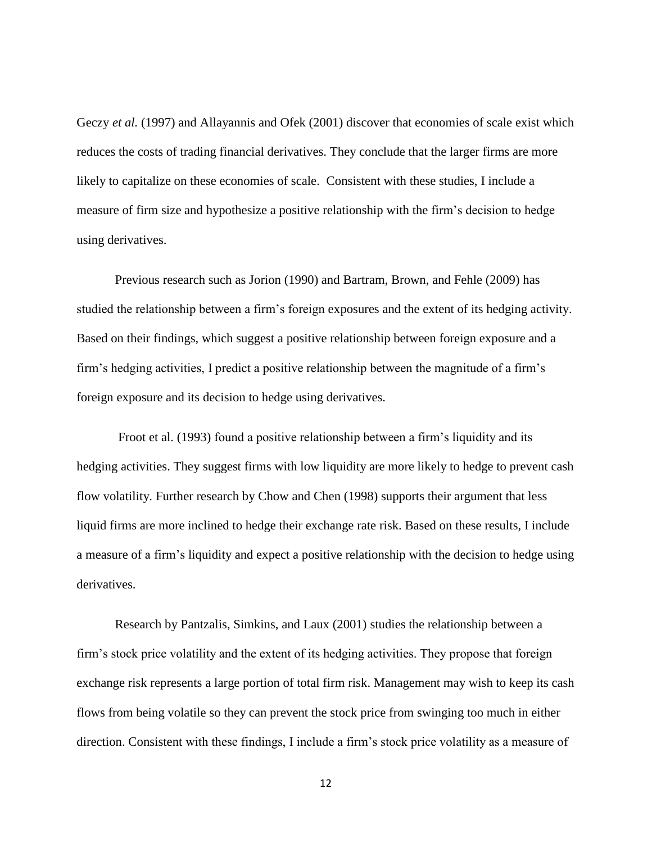Geczy *et al.* (1997) and Allayannis and Ofek (2001) discover that economies of scale exist which reduces the costs of trading financial derivatives. They conclude that the larger firms are more likely to capitalize on these economies of scale. Consistent with these studies, I include a measure of firm size and hypothesize a positive relationship with the firm"s decision to hedge using derivatives.

Previous research such as Jorion (1990) and Bartram, Brown, and Fehle (2009) has studied the relationship between a firm"s foreign exposures and the extent of its hedging activity. Based on their findings, which suggest a positive relationship between foreign exposure and a firm"s hedging activities, I predict a positive relationship between the magnitude of a firm"s foreign exposure and its decision to hedge using derivatives.

Froot et al. (1993) found a positive relationship between a firm"s liquidity and its hedging activities. They suggest firms with low liquidity are more likely to hedge to prevent cash flow volatility. Further research by Chow and Chen (1998) supports their argument that less liquid firms are more inclined to hedge their exchange rate risk. Based on these results, I include a measure of a firm"s liquidity and expect a positive relationship with the decision to hedge using derivatives.

Research by Pantzalis, Simkins, and Laux (2001) studies the relationship between a firm"s stock price volatility and the extent of its hedging activities. They propose that foreign exchange risk represents a large portion of total firm risk. Management may wish to keep its cash flows from being volatile so they can prevent the stock price from swinging too much in either direction. Consistent with these findings, I include a firm"s stock price volatility as a measure of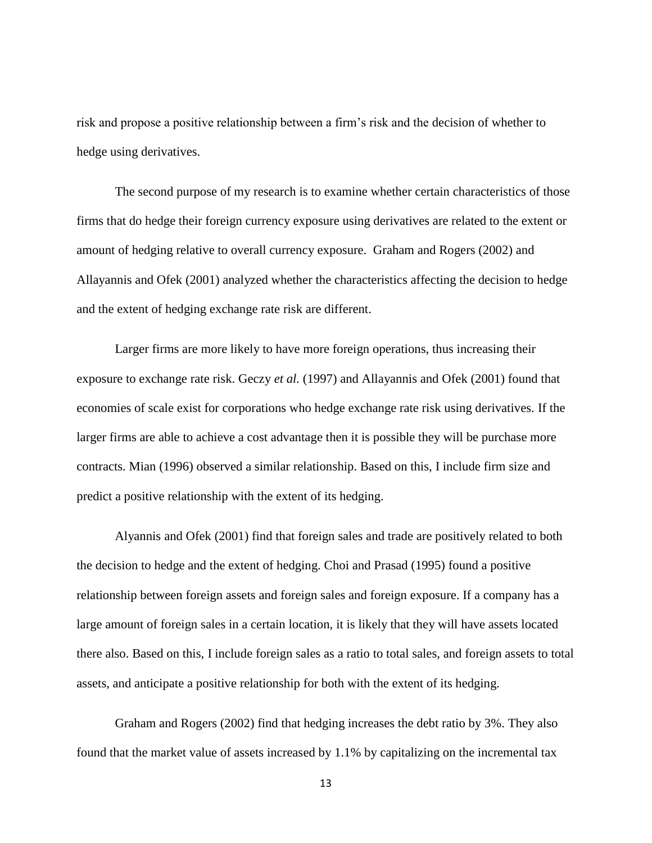risk and propose a positive relationship between a firm"s risk and the decision of whether to hedge using derivatives.

The second purpose of my research is to examine whether certain characteristics of those firms that do hedge their foreign currency exposure using derivatives are related to the extent or amount of hedging relative to overall currency exposure. Graham and Rogers (2002) and Allayannis and Ofek (2001) analyzed whether the characteristics affecting the decision to hedge and the extent of hedging exchange rate risk are different.

Larger firms are more likely to have more foreign operations, thus increasing their exposure to exchange rate risk. Geczy *et al.* (1997) and Allayannis and Ofek (2001) found that economies of scale exist for corporations who hedge exchange rate risk using derivatives. If the larger firms are able to achieve a cost advantage then it is possible they will be purchase more contracts. Mian (1996) observed a similar relationship. Based on this, I include firm size and predict a positive relationship with the extent of its hedging.

Alyannis and Ofek (2001) find that foreign sales and trade are positively related to both the decision to hedge and the extent of hedging. Choi and Prasad (1995) found a positive relationship between foreign assets and foreign sales and foreign exposure. If a company has a large amount of foreign sales in a certain location, it is likely that they will have assets located there also. Based on this, I include foreign sales as a ratio to total sales, and foreign assets to total assets, and anticipate a positive relationship for both with the extent of its hedging.

Graham and Rogers (2002) find that hedging increases the debt ratio by 3%. They also found that the market value of assets increased by 1.1% by capitalizing on the incremental tax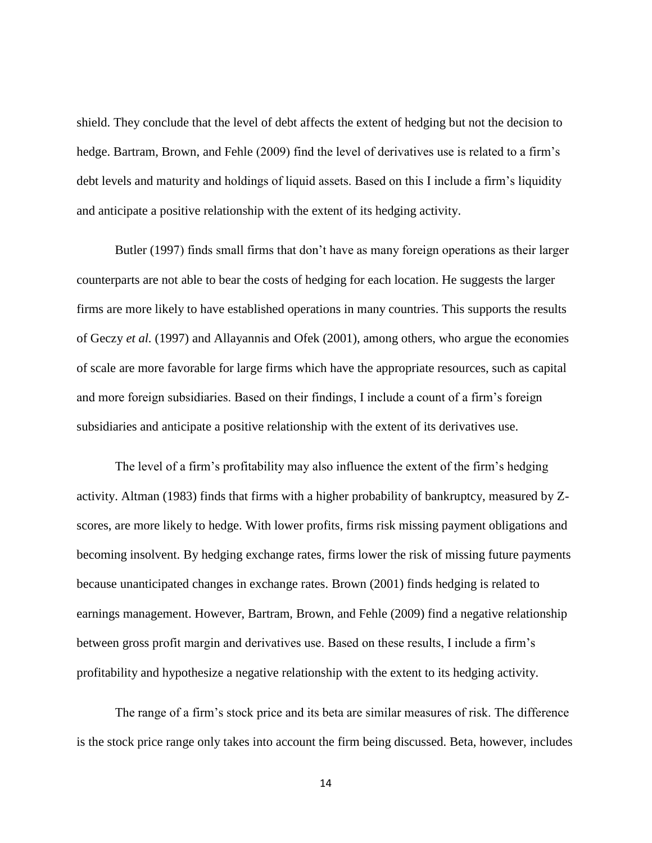shield. They conclude that the level of debt affects the extent of hedging but not the decision to hedge. Bartram, Brown, and Fehle (2009) find the level of derivatives use is related to a firm's debt levels and maturity and holdings of liquid assets. Based on this I include a firm"s liquidity and anticipate a positive relationship with the extent of its hedging activity.

Butler (1997) finds small firms that don't have as many foreign operations as their larger counterparts are not able to bear the costs of hedging for each location. He suggests the larger firms are more likely to have established operations in many countries. This supports the results of Geczy *et al.* (1997) and Allayannis and Ofek (2001), among others, who argue the economies of scale are more favorable for large firms which have the appropriate resources, such as capital and more foreign subsidiaries. Based on their findings, I include a count of a firm"s foreign subsidiaries and anticipate a positive relationship with the extent of its derivatives use.

The level of a firm"s profitability may also influence the extent of the firm"s hedging activity. Altman (1983) finds that firms with a higher probability of bankruptcy, measured by Zscores, are more likely to hedge. With lower profits, firms risk missing payment obligations and becoming insolvent. By hedging exchange rates, firms lower the risk of missing future payments because unanticipated changes in exchange rates. Brown (2001) finds hedging is related to earnings management. However, Bartram, Brown, and Fehle (2009) find a negative relationship between gross profit margin and derivatives use. Based on these results, I include a firm"s profitability and hypothesize a negative relationship with the extent to its hedging activity.

The range of a firm"s stock price and its beta are similar measures of risk. The difference is the stock price range only takes into account the firm being discussed. Beta, however, includes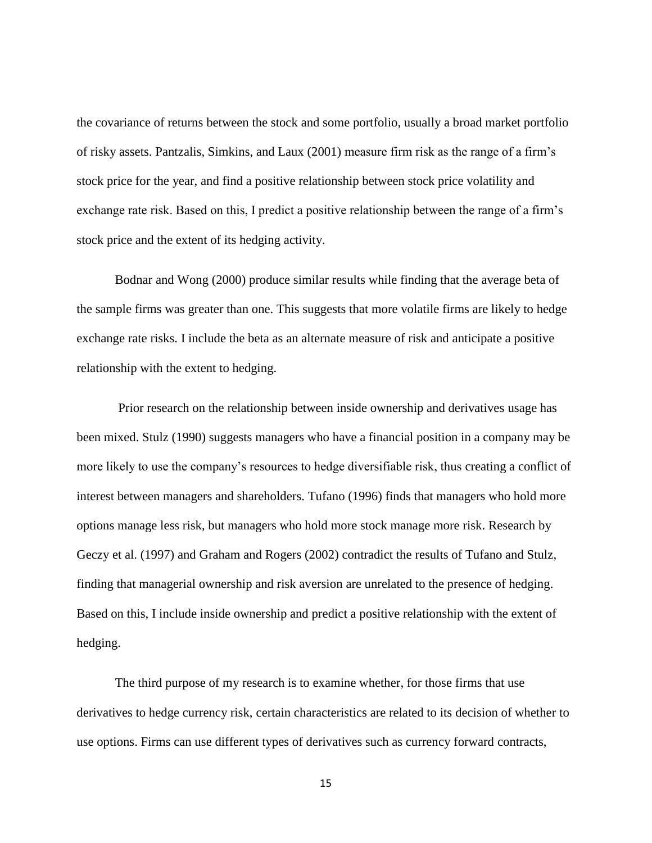the covariance of returns between the stock and some portfolio, usually a broad market portfolio of risky assets. Pantzalis, Simkins, and Laux (2001) measure firm risk as the range of a firm"s stock price for the year, and find a positive relationship between stock price volatility and exchange rate risk. Based on this, I predict a positive relationship between the range of a firm"s stock price and the extent of its hedging activity.

Bodnar and Wong (2000) produce similar results while finding that the average beta of the sample firms was greater than one. This suggests that more volatile firms are likely to hedge exchange rate risks. I include the beta as an alternate measure of risk and anticipate a positive relationship with the extent to hedging.

Prior research on the relationship between inside ownership and derivatives usage has been mixed. Stulz (1990) suggests managers who have a financial position in a company may be more likely to use the company"s resources to hedge diversifiable risk, thus creating a conflict of interest between managers and shareholders. Tufano (1996) finds that managers who hold more options manage less risk, but managers who hold more stock manage more risk. Research by Geczy et al. (1997) and Graham and Rogers (2002) contradict the results of Tufano and Stulz, finding that managerial ownership and risk aversion are unrelated to the presence of hedging. Based on this, I include inside ownership and predict a positive relationship with the extent of hedging.

The third purpose of my research is to examine whether, for those firms that use derivatives to hedge currency risk, certain characteristics are related to its decision of whether to use options. Firms can use different types of derivatives such as currency forward contracts,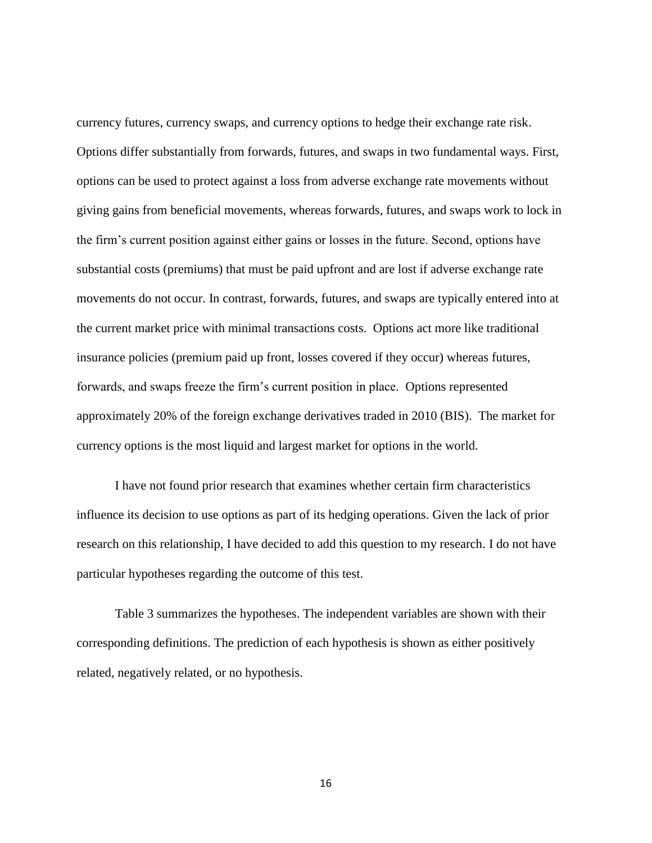currency futures, currency swaps, and currency options to hedge their exchange rate risk. Options differ substantially from forwards, futures, and swaps in two fundamental ways. First, options can be used to protect against a loss from adverse exchange rate movements without giving gains from beneficial movements, whereas forwards, futures, and swaps work to lock in the firm"s current position against either gains or losses in the future. Second, options have substantial costs (premiums) that must be paid upfront and are lost if adverse exchange rate movements do not occur. In contrast, forwards, futures, and swaps are typically entered into at the current market price with minimal transactions costs. Options act more like traditional insurance policies (premium paid up front, losses covered if they occur) whereas futures, forwards, and swaps freeze the firm"s current position in place. Options represented approximately 20% of the foreign exchange derivatives traded in 2010 (BIS). The market for currency options is the most liquid and largest market for options in the world.

I have not found prior research that examines whether certain firm characteristics influence its decision to use options as part of its hedging operations. Given the lack of prior research on this relationship, I have decided to add this question to my research. I do not have particular hypotheses regarding the outcome of this test.

Table 3 summarizes the hypotheses. The independent variables are shown with their corresponding definitions. The prediction of each hypothesis is shown as either positively related, negatively related, or no hypothesis.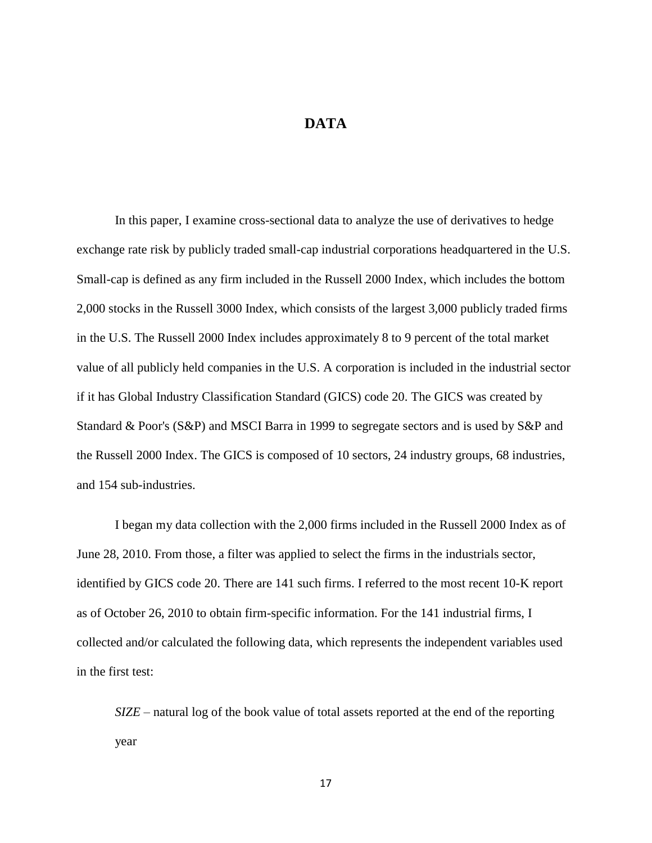#### **DATA**

<span id="page-23-0"></span>In this paper, I examine cross-sectional data to analyze the use of derivatives to hedge exchange rate risk by publicly traded small-cap industrial corporations headquartered in the U.S. Small-cap is defined as any firm included in the Russell 2000 Index, which includes the bottom 2,000 stocks in the Russell 3000 Index, which consists of the largest 3,000 publicly traded firms in the U.S. The Russell 2000 Index includes approximately 8 to 9 percent of the total market value of all publicly held companies in the U.S. A corporation is included in the industrial sector if it has Global Industry Classification Standard (GICS) code 20. The GICS was created by Standard & Poor's (S&P) and MSCI Barra in 1999 to segregate sectors and is used by S&P and the Russell 2000 Index. The GICS is composed of 10 sectors, 24 industry groups, 68 industries, and 154 sub-industries.

I began my data collection with the 2,000 firms included in the Russell 2000 Index as of June 28, 2010. From those, a filter was applied to select the firms in the industrials sector, identified by GICS code 20. There are 141 such firms. I referred to the most recent 10-K report as of October 26, 2010 to obtain firm-specific information. For the 141 industrial firms, I collected and/or calculated the following data, which represents the independent variables used in the first test:

*SIZE* – natural log of the book value of total assets reported at the end of the reporting year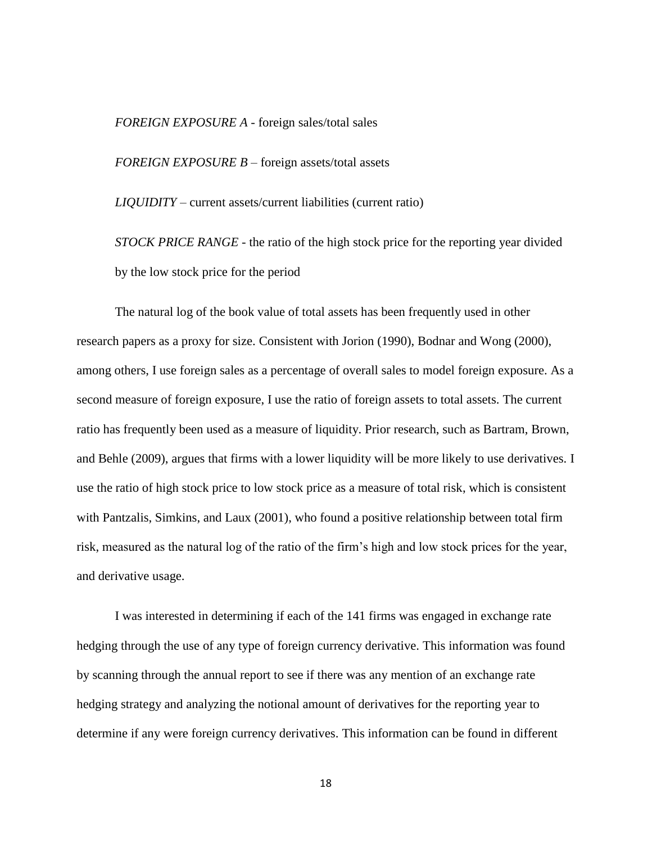*FOREIGN EXPOSURE A* - foreign sales/total sales

*FOREIGN EXPOSURE B* – foreign assets/total assets

*LIQUIDITY* – current assets/current liabilities (current ratio)

*STOCK PRICE RANGE* - the ratio of the high stock price for the reporting year divided by the low stock price for the period

The natural log of the book value of total assets has been frequently used in other research papers as a proxy for size. Consistent with Jorion (1990), Bodnar and Wong (2000), among others, I use foreign sales as a percentage of overall sales to model foreign exposure. As a second measure of foreign exposure, I use the ratio of foreign assets to total assets. The current ratio has frequently been used as a measure of liquidity. Prior research, such as Bartram, Brown, and Behle (2009), argues that firms with a lower liquidity will be more likely to use derivatives. I use the ratio of high stock price to low stock price as a measure of total risk, which is consistent with Pantzalis, Simkins, and Laux (2001), who found a positive relationship between total firm risk, measured as the natural log of the ratio of the firm"s high and low stock prices for the year, and derivative usage.

I was interested in determining if each of the 141 firms was engaged in exchange rate hedging through the use of any type of foreign currency derivative. This information was found by scanning through the annual report to see if there was any mention of an exchange rate hedging strategy and analyzing the notional amount of derivatives for the reporting year to determine if any were foreign currency derivatives. This information can be found in different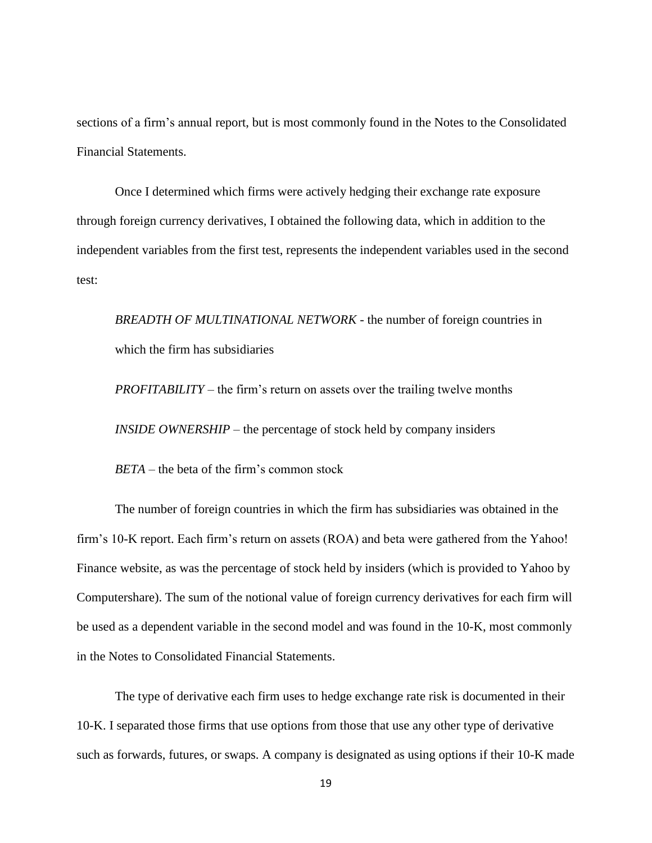sections of a firm's annual report, but is most commonly found in the Notes to the Consolidated Financial Statements.

Once I determined which firms were actively hedging their exchange rate exposure through foreign currency derivatives, I obtained the following data, which in addition to the independent variables from the first test, represents the independent variables used in the second test:

*BREADTH OF MULTINATIONAL NETWORK* - the number of foreign countries in which the firm has subsidiaries

*PROFITABILITY* – the firm's return on assets over the trailing twelve months *INSIDE OWNERSHIP* – the percentage of stock held by company insiders

*BETA* – the beta of the firm's common stock

The number of foreign countries in which the firm has subsidiaries was obtained in the firm"s 10-K report. Each firm"s return on assets (ROA) and beta were gathered from the Yahoo! Finance website, as was the percentage of stock held by insiders (which is provided to Yahoo by Computershare). The sum of the notional value of foreign currency derivatives for each firm will be used as a dependent variable in the second model and was found in the 10-K, most commonly in the Notes to Consolidated Financial Statements.

The type of derivative each firm uses to hedge exchange rate risk is documented in their 10-K. I separated those firms that use options from those that use any other type of derivative such as forwards, futures, or swaps. A company is designated as using options if their 10-K made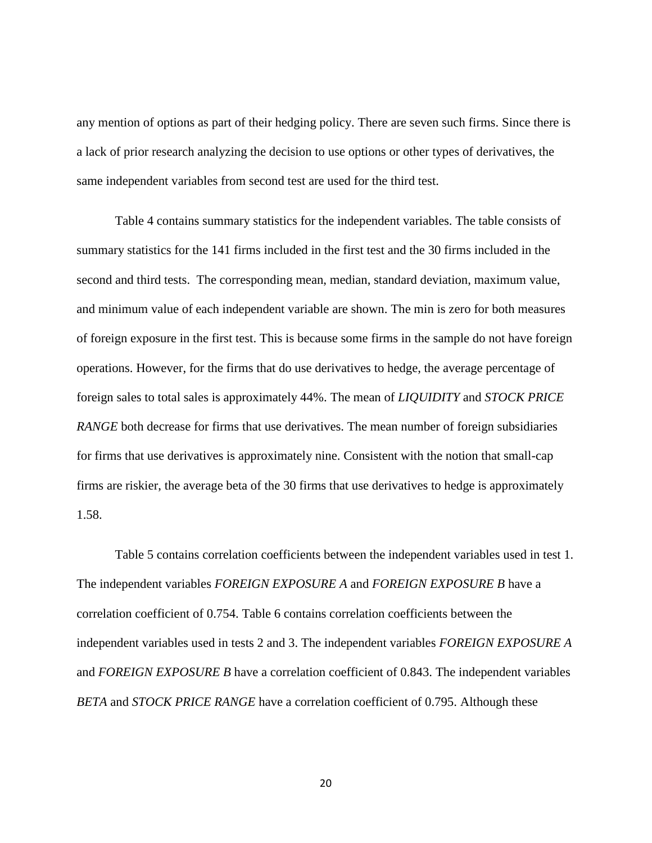any mention of options as part of their hedging policy. There are seven such firms. Since there is a lack of prior research analyzing the decision to use options or other types of derivatives, the same independent variables from second test are used for the third test.

Table 4 contains summary statistics for the independent variables. The table consists of summary statistics for the 141 firms included in the first test and the 30 firms included in the second and third tests. The corresponding mean, median, standard deviation, maximum value, and minimum value of each independent variable are shown. The min is zero for both measures of foreign exposure in the first test. This is because some firms in the sample do not have foreign operations. However, for the firms that do use derivatives to hedge, the average percentage of foreign sales to total sales is approximately 44%. The mean of *LIQUIDITY* and *STOCK PRICE RANGE* both decrease for firms that use derivatives. The mean number of foreign subsidiaries for firms that use derivatives is approximately nine. Consistent with the notion that small-cap firms are riskier, the average beta of the 30 firms that use derivatives to hedge is approximately 1.58.

Table 5 contains correlation coefficients between the independent variables used in test 1. The independent variables *FOREIGN EXPOSURE A* and *FOREIGN EXPOSURE B* have a correlation coefficient of 0.754. Table 6 contains correlation coefficients between the independent variables used in tests 2 and 3. The independent variables *FOREIGN EXPOSURE A*  and *FOREIGN EXPOSURE B* have a correlation coefficient of 0.843. The independent variables *BETA* and *STOCK PRICE RANGE* have a correlation coefficient of 0.795. Although these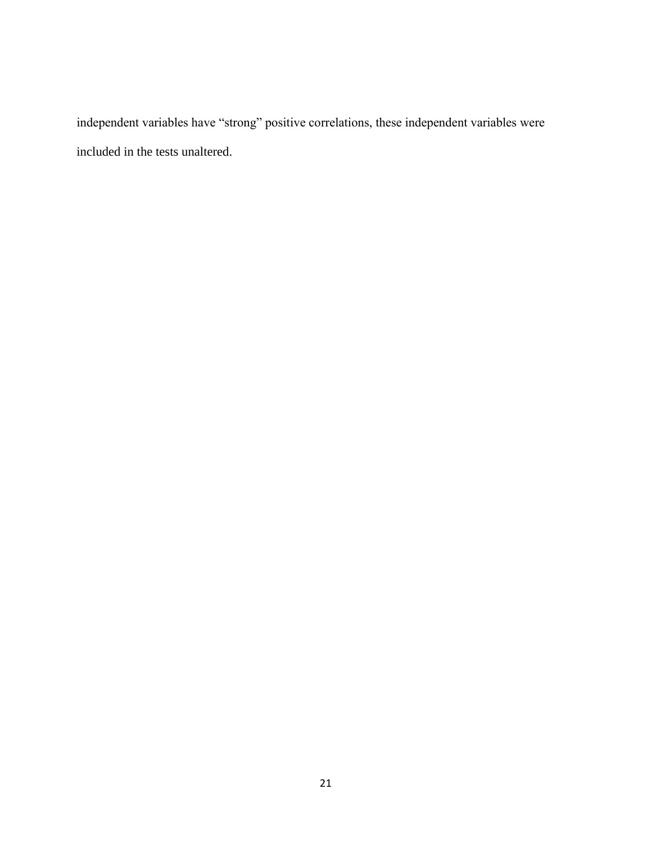independent variables have "strong" positive correlations, these independent variables were included in the tests unaltered.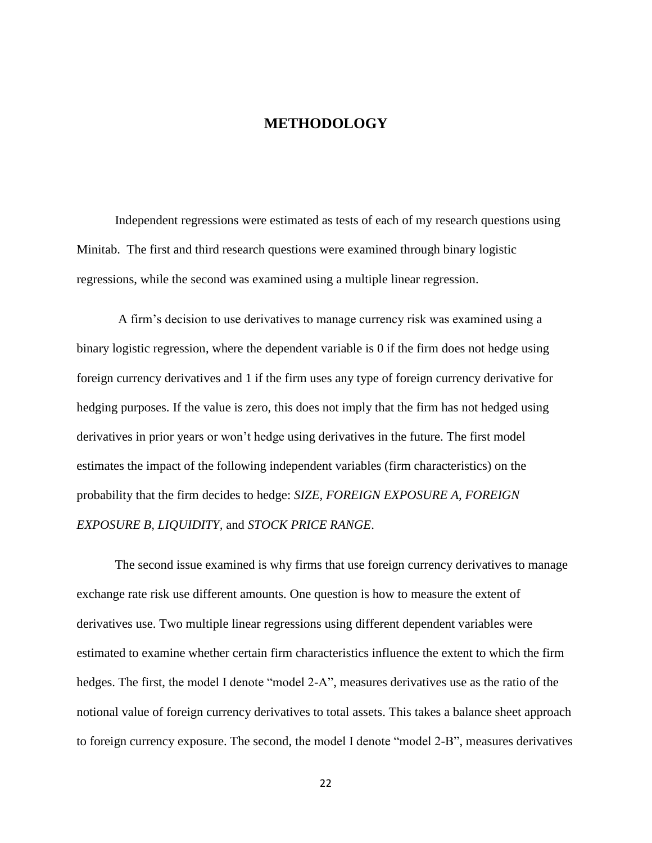#### **METHODOLOGY**

<span id="page-28-0"></span>Independent regressions were estimated as tests of each of my research questions using Minitab. The first and third research questions were examined through binary logistic regressions, while the second was examined using a multiple linear regression.

A firm"s decision to use derivatives to manage currency risk was examined using a binary logistic regression, where the dependent variable is 0 if the firm does not hedge using foreign currency derivatives and 1 if the firm uses any type of foreign currency derivative for hedging purposes. If the value is zero, this does not imply that the firm has not hedged using derivatives in prior years or won"t hedge using derivatives in the future. The first model estimates the impact of the following independent variables (firm characteristics) on the probability that the firm decides to hedge: *SIZE, FOREIGN EXPOSURE A, FOREIGN EXPOSURE B, LIQUIDITY,* and *STOCK PRICE RANGE*.

The second issue examined is why firms that use foreign currency derivatives to manage exchange rate risk use different amounts. One question is how to measure the extent of derivatives use. Two multiple linear regressions using different dependent variables were estimated to examine whether certain firm characteristics influence the extent to which the firm hedges. The first, the model I denote "model 2-A", measures derivatives use as the ratio of the notional value of foreign currency derivatives to total assets. This takes a balance sheet approach to foreign currency exposure. The second, the model I denote "model 2-B", measures derivatives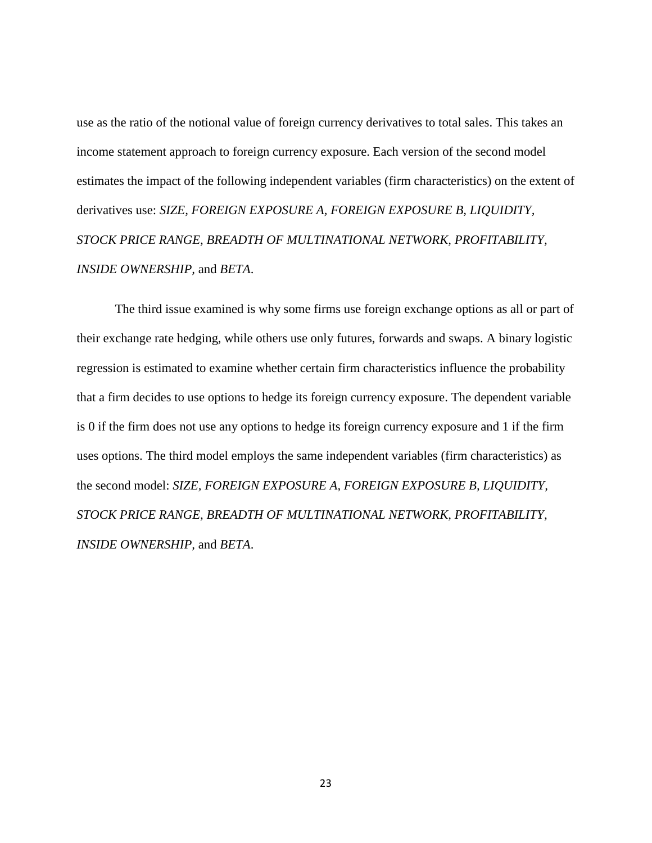use as the ratio of the notional value of foreign currency derivatives to total sales. This takes an income statement approach to foreign currency exposure. Each version of the second model estimates the impact of the following independent variables (firm characteristics) on the extent of derivatives use: *SIZE, FOREIGN EXPOSURE A, FOREIGN EXPOSURE B, LIQUIDITY, STOCK PRICE RANGE, BREADTH OF MULTINATIONAL NETWORK, PROFITABILITY, INSIDE OWNERSHIP,* and *BETA*.

The third issue examined is why some firms use foreign exchange options as all or part of their exchange rate hedging, while others use only futures, forwards and swaps. A binary logistic regression is estimated to examine whether certain firm characteristics influence the probability that a firm decides to use options to hedge its foreign currency exposure. The dependent variable is 0 if the firm does not use any options to hedge its foreign currency exposure and 1 if the firm uses options. The third model employs the same independent variables (firm characteristics) as the second model: *SIZE, FOREIGN EXPOSURE A, FOREIGN EXPOSURE B, LIQUIDITY, STOCK PRICE RANGE, BREADTH OF MULTINATIONAL NETWORK, PROFITABILITY, INSIDE OWNERSHIP,* and *BETA*.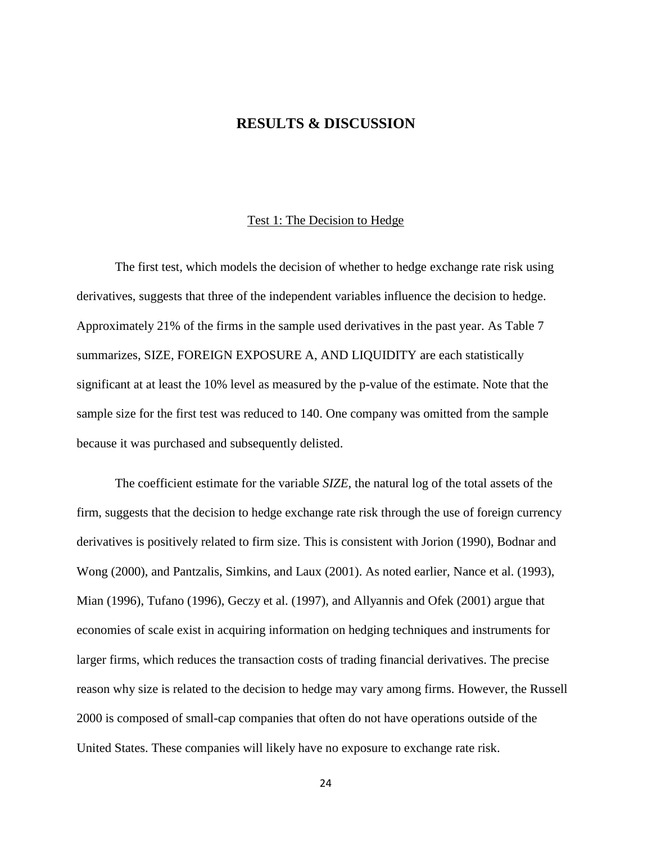#### **RESULTS & DISCUSSION**

#### Test 1: The Decision to Hedge

<span id="page-30-1"></span><span id="page-30-0"></span>The first test, which models the decision of whether to hedge exchange rate risk using derivatives, suggests that three of the independent variables influence the decision to hedge. Approximately 21% of the firms in the sample used derivatives in the past year. As Table 7 summarizes, SIZE, FOREIGN EXPOSURE A, AND LIQUIDITY are each statistically significant at at least the 10% level as measured by the p-value of the estimate. Note that the sample size for the first test was reduced to 140. One company was omitted from the sample because it was purchased and subsequently delisted.

The coefficient estimate for the variable *SIZE*, the natural log of the total assets of the firm, suggests that the decision to hedge exchange rate risk through the use of foreign currency derivatives is positively related to firm size. This is consistent with Jorion (1990), Bodnar and Wong (2000), and Pantzalis, Simkins, and Laux (2001). As noted earlier, Nance et al. (1993), Mian (1996), Tufano (1996), Geczy et al. (1997), and Allyannis and Ofek (2001) argue that economies of scale exist in acquiring information on hedging techniques and instruments for larger firms, which reduces the transaction costs of trading financial derivatives. The precise reason why size is related to the decision to hedge may vary among firms. However, the Russell 2000 is composed of small-cap companies that often do not have operations outside of the United States. These companies will likely have no exposure to exchange rate risk.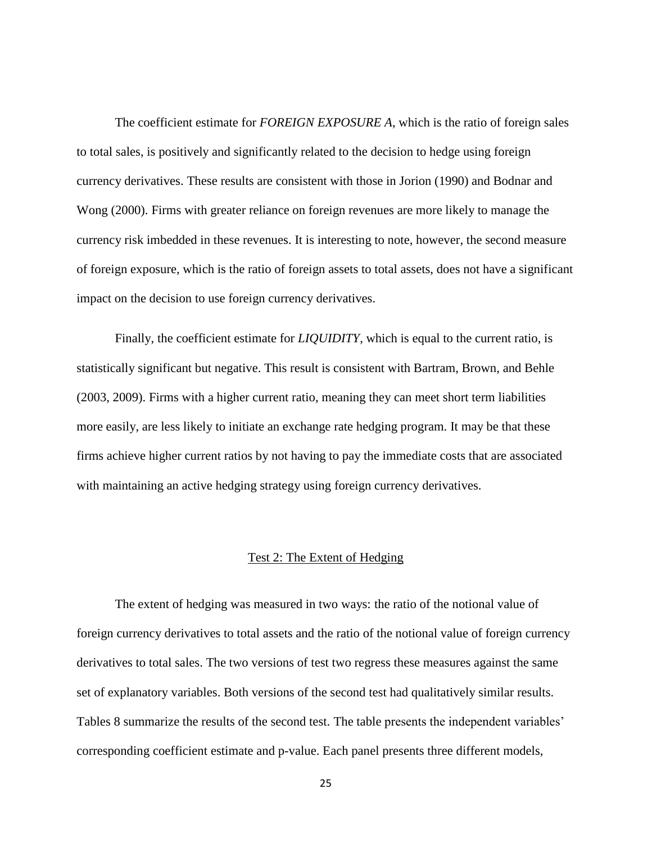The coefficient estimate for *FOREIGN EXPOSURE A*, which is the ratio of foreign sales to total sales, is positively and significantly related to the decision to hedge using foreign currency derivatives. These results are consistent with those in Jorion (1990) and Bodnar and Wong (2000). Firms with greater reliance on foreign revenues are more likely to manage the currency risk imbedded in these revenues. It is interesting to note, however, the second measure of foreign exposure, which is the ratio of foreign assets to total assets, does not have a significant impact on the decision to use foreign currency derivatives.

Finally, the coefficient estimate for *LIQUIDITY*, which is equal to the current ratio, is statistically significant but negative. This result is consistent with Bartram, Brown, and Behle (2003, 2009). Firms with a higher current ratio, meaning they can meet short term liabilities more easily, are less likely to initiate an exchange rate hedging program. It may be that these firms achieve higher current ratios by not having to pay the immediate costs that are associated with maintaining an active hedging strategy using foreign currency derivatives.

#### Test 2: The Extent of Hedging

<span id="page-31-0"></span>The extent of hedging was measured in two ways: the ratio of the notional value of foreign currency derivatives to total assets and the ratio of the notional value of foreign currency derivatives to total sales. The two versions of test two regress these measures against the same set of explanatory variables. Both versions of the second test had qualitatively similar results. Tables 8 summarize the results of the second test. The table presents the independent variables' corresponding coefficient estimate and p-value. Each panel presents three different models,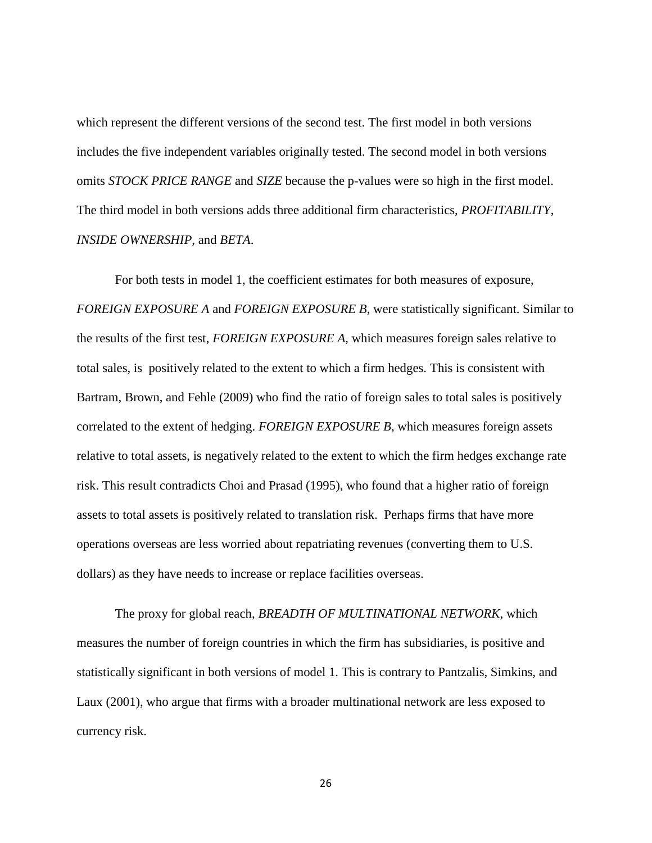which represent the different versions of the second test. The first model in both versions includes the five independent variables originally tested. The second model in both versions omits *STOCK PRICE RANGE* and *SIZE* because the p-values were so high in the first model. The third model in both versions adds three additional firm characteristics, *PROFITABILITY*, *INSIDE OWNERSHIP*, and *BETA*.

For both tests in model 1, the coefficient estimates for both measures of exposure, *FOREIGN EXPOSURE A* and *FOREIGN EXPOSURE B*, were statistically significant. Similar to the results of the first test, *FOREIGN EXPOSURE A*, which measures foreign sales relative to total sales, is positively related to the extent to which a firm hedges. This is consistent with Bartram, Brown, and Fehle (2009) who find the ratio of foreign sales to total sales is positively correlated to the extent of hedging. *FOREIGN EXPOSURE B*, which measures foreign assets relative to total assets, is negatively related to the extent to which the firm hedges exchange rate risk. This result contradicts Choi and Prasad (1995), who found that a higher ratio of foreign assets to total assets is positively related to translation risk. Perhaps firms that have more operations overseas are less worried about repatriating revenues (converting them to U.S. dollars) as they have needs to increase or replace facilities overseas.

The proxy for global reach, *BREADTH OF MULTINATIONAL NETWORK*, which measures the number of foreign countries in which the firm has subsidiaries, is positive and statistically significant in both versions of model 1. This is contrary to Pantzalis, Simkins, and Laux (2001), who argue that firms with a broader multinational network are less exposed to currency risk.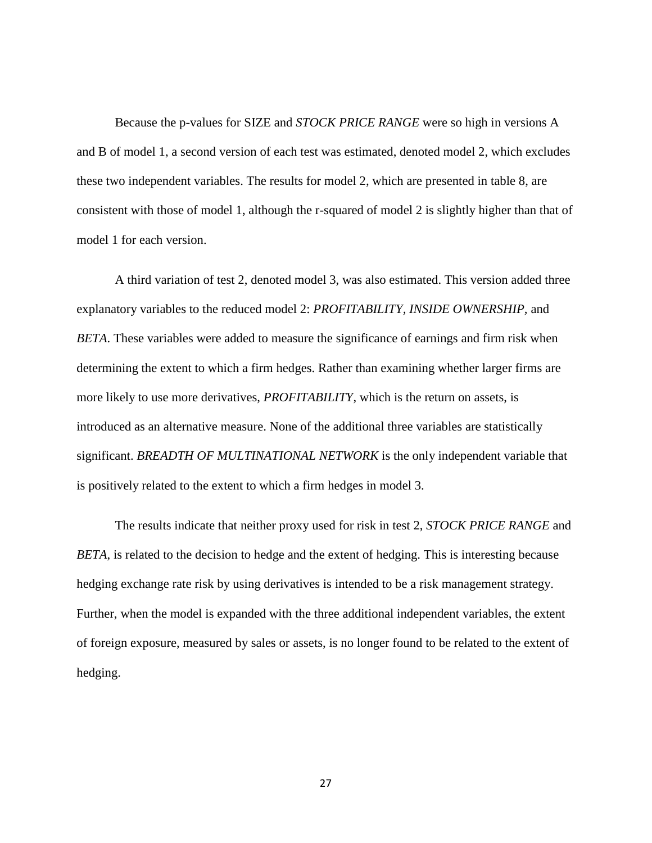Because the p-values for SIZE and *STOCK PRICE RANGE* were so high in versions A and B of model 1, a second version of each test was estimated, denoted model 2, which excludes these two independent variables. The results for model 2, which are presented in table 8, are consistent with those of model 1, although the r-squared of model 2 is slightly higher than that of model 1 for each version.

A third variation of test 2, denoted model 3, was also estimated. This version added three explanatory variables to the reduced model 2: *PROFITABILITY, INSIDE OWNERSHIP,* and *BETA*. These variables were added to measure the significance of earnings and firm risk when determining the extent to which a firm hedges. Rather than examining whether larger firms are more likely to use more derivatives, *PROFITABILITY*, which is the return on assets, is introduced as an alternative measure. None of the additional three variables are statistically significant. *BREADTH OF MULTINATIONAL NETWORK* is the only independent variable that is positively related to the extent to which a firm hedges in model 3.

The results indicate that neither proxy used for risk in test 2, *STOCK PRICE RANGE* and *BETA*, is related to the decision to hedge and the extent of hedging. This is interesting because hedging exchange rate risk by using derivatives is intended to be a risk management strategy. Further, when the model is expanded with the three additional independent variables, the extent of foreign exposure, measured by sales or assets, is no longer found to be related to the extent of hedging.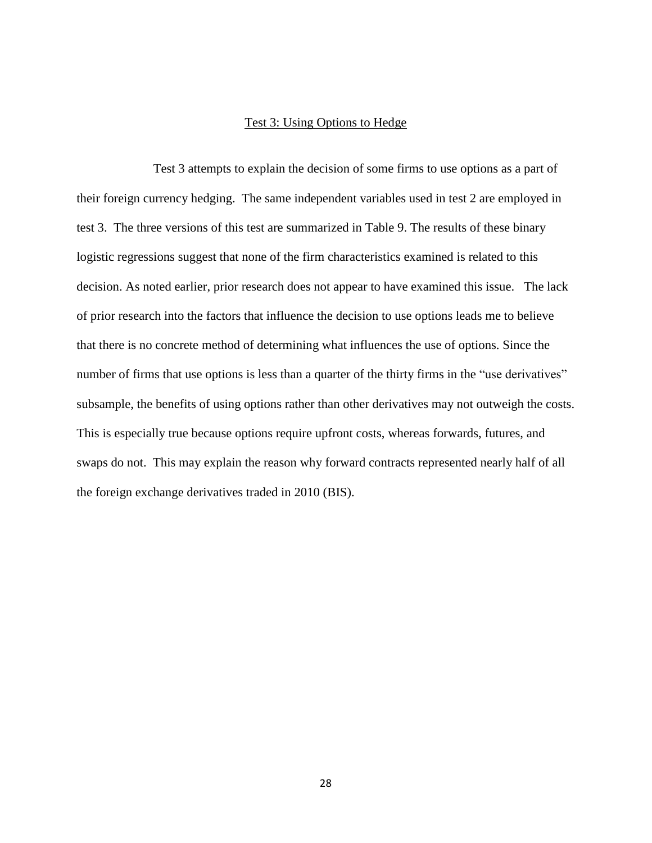#### Test 3: Using Options to Hedge

<span id="page-34-0"></span>Test 3 attempts to explain the decision of some firms to use options as a part of their foreign currency hedging. The same independent variables used in test 2 are employed in test 3. The three versions of this test are summarized in Table 9. The results of these binary logistic regressions suggest that none of the firm characteristics examined is related to this decision. As noted earlier, prior research does not appear to have examined this issue. The lack of prior research into the factors that influence the decision to use options leads me to believe that there is no concrete method of determining what influences the use of options. Since the number of firms that use options is less than a quarter of the thirty firms in the "use derivatives" subsample, the benefits of using options rather than other derivatives may not outweigh the costs. This is especially true because options require upfront costs, whereas forwards, futures, and swaps do not. This may explain the reason why forward contracts represented nearly half of all the foreign exchange derivatives traded in 2010 (BIS).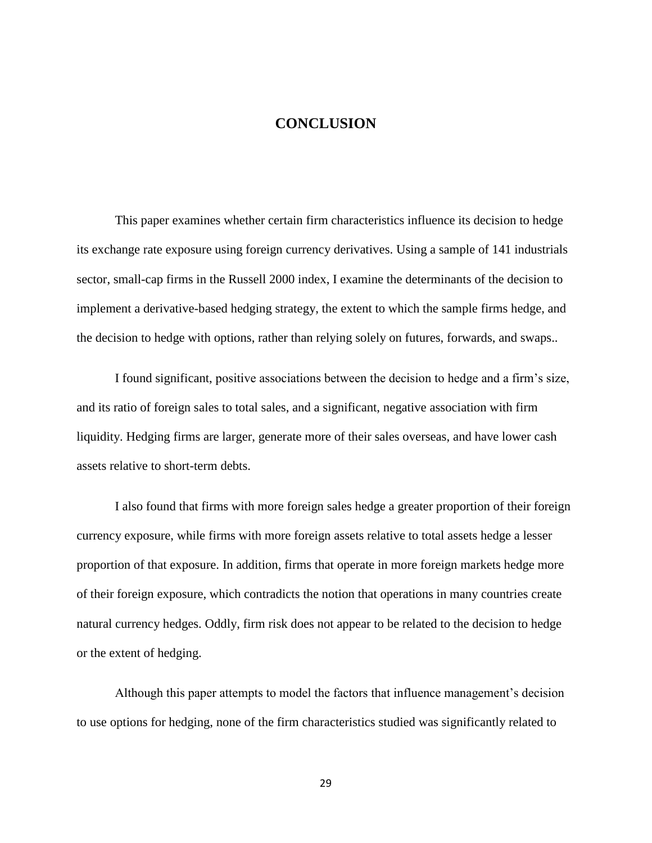#### **CONCLUSION**

<span id="page-35-0"></span>This paper examines whether certain firm characteristics influence its decision to hedge its exchange rate exposure using foreign currency derivatives. Using a sample of 141 industrials sector, small-cap firms in the Russell 2000 index, I examine the determinants of the decision to implement a derivative-based hedging strategy, the extent to which the sample firms hedge, and the decision to hedge with options, rather than relying solely on futures, forwards, and swaps..

I found significant, positive associations between the decision to hedge and a firm"s size, and its ratio of foreign sales to total sales, and a significant, negative association with firm liquidity. Hedging firms are larger, generate more of their sales overseas, and have lower cash assets relative to short-term debts.

I also found that firms with more foreign sales hedge a greater proportion of their foreign currency exposure, while firms with more foreign assets relative to total assets hedge a lesser proportion of that exposure. In addition, firms that operate in more foreign markets hedge more of their foreign exposure, which contradicts the notion that operations in many countries create natural currency hedges. Oddly, firm risk does not appear to be related to the decision to hedge or the extent of hedging.

Although this paper attempts to model the factors that influence management's decision to use options for hedging, none of the firm characteristics studied was significantly related to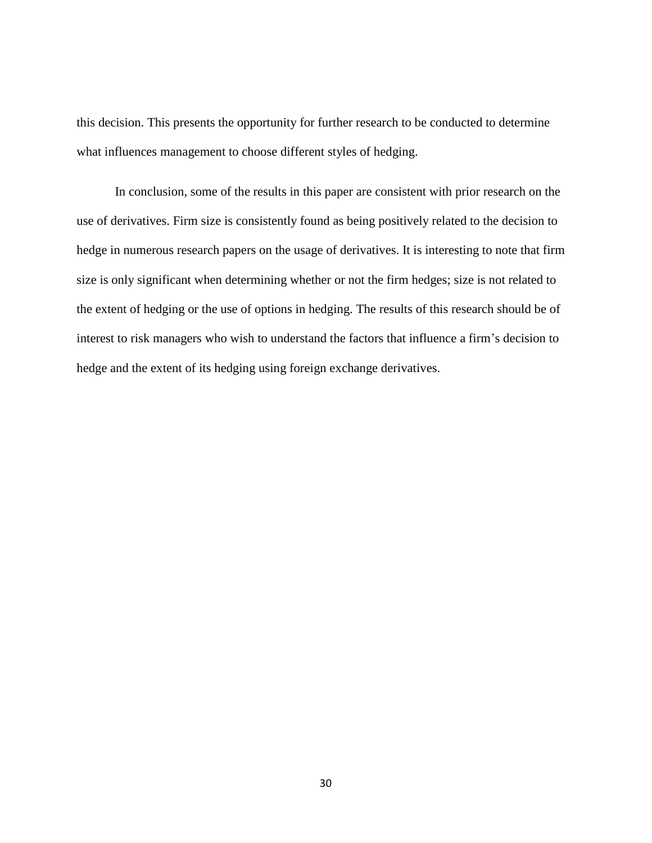this decision. This presents the opportunity for further research to be conducted to determine what influences management to choose different styles of hedging.

In conclusion, some of the results in this paper are consistent with prior research on the use of derivatives. Firm size is consistently found as being positively related to the decision to hedge in numerous research papers on the usage of derivatives. It is interesting to note that firm size is only significant when determining whether or not the firm hedges; size is not related to the extent of hedging or the use of options in hedging. The results of this research should be of interest to risk managers who wish to understand the factors that influence a firm"s decision to hedge and the extent of its hedging using foreign exchange derivatives.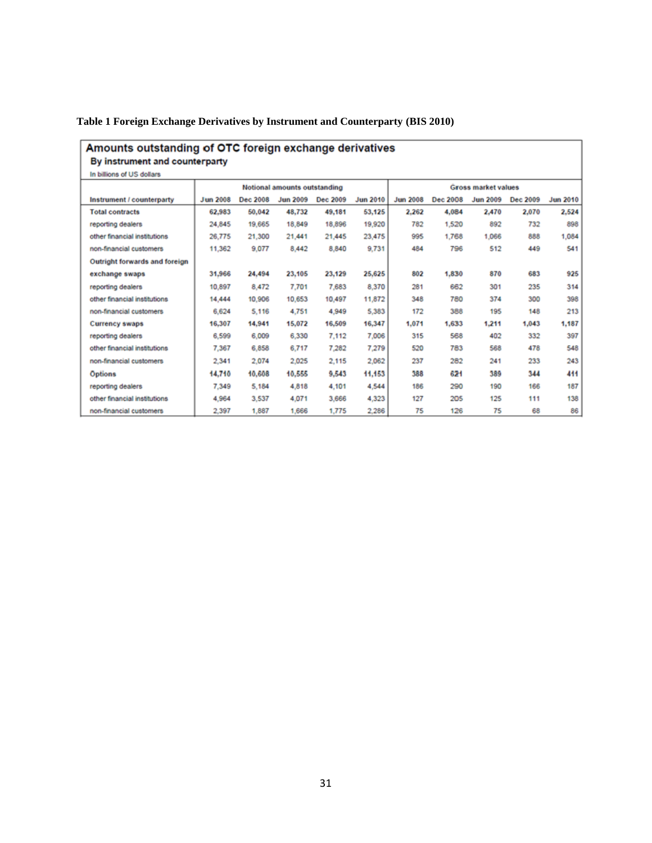#### <span id="page-37-0"></span>**Table 1 Foreign Exchange Derivatives by Instrument and Counterparty (BIS 2010)**

#### Amounts outstanding of OTC foreign exchange derivatives By instrument and counterparty

In billions of US dollars

<span id="page-37-1"></span>

| in plinons or us gollars      |                              |          |                 |          |                 |                            |          |                 |          |                 |
|-------------------------------|------------------------------|----------|-----------------|----------|-----------------|----------------------------|----------|-----------------|----------|-----------------|
|                               | Notional amounts outstanding |          |                 |          |                 | <b>Gross market values</b> |          |                 |          |                 |
| Instrument / counterparty     | <b>Jun 2008</b>              | Dec 2008 | <b>Jun 2009</b> | Dec 2009 | <b>Jun 2010</b> | <b>Jun 2008</b>            | Dec 2008 | <b>Jun 2009</b> | Dec 2009 | <b>Jun 2010</b> |
| <b>Total contracts</b>        | 62,983                       | 50,042   | 48,732          | 49,181   | 53,125          | 2.262                      | 4,084    | 2,470           | 2,070    | 2,524           |
| reporting dealers             | 24,845                       | 19,665   | 18,849          | 18,896   | 19,920          | 782                        | 1,520    | 892             | 732      | 898             |
| other financial institutions  | 26,775                       | 21,300   | 21,441          | 21.445   | 23,475          | 995                        | 1,768    | 1,066           | 888      | 1,084           |
| non-financial customers       | 11,362                       | 9,077    | 8,442           | 8,840    | 9,731           | 484                        | 796      | 512             | 449      | 541             |
| Outright forwards and foreign |                              |          |                 |          |                 |                            |          |                 |          |                 |
| exchange swaps                | 31,966                       | 24,494   | 23,105          | 23,129   | 25,625          | 802                        | 1,830    | 870             | 683      | 925             |
| reporting dealers             | 10.897                       | 8.472    | 7.701           | 7,683    | 8,370           | 281                        | 662      | 301             | 235      | 314             |
| other financial institutions  | 14,444                       | 10,906   | 10,653          | 10.497   | 11,872          | 348                        | 780      | 374             | 300      | 398             |
| non-financial customers       | 6,624                        | 5,116    | 4,751           | 4,949    | 5,383           | 172                        | 388      | 195             | 148      | 213             |
| <b>Currency swaps</b>         | 16,307                       | 14,941   | 15,072          | 16,509   | 16,347          | 1.071                      | 1,633    | 1.211           | 1.043    | 1,187           |
| reporting dealers             | 6,599                        | 6,009    | 6,330           | 7,112    | 7,006           | 315                        | 568      | 402             | 332      | 397             |
| other financial institutions  | 7,367                        | 6,858    | 6,717           | 7,282    | 7,279           | 520                        | 783      | 568             | 478      | 548             |
| non-financial customers       | 2.341                        | 2,074    | 2,025           | 2,115    | 2,062           | 237                        | 282      | 241             | 233      | 243             |
| <b>Options</b>                | 14,710                       | 10,608   | 10,555          | 9.543    | 11,153          | 388                        | 621      | 389             | 344      | 411             |
| reporting dealers             | 7,349                        | 5,184    | 4,818           | 4,101    | 4,544           | 186                        | 290      | 190             | 166      | 187             |
| other financial institutions  | 4,964                        | 3,537    | 4,071           | 3,666    | 4,323           | 127                        | 205      | 125             | 111      | 138             |
| non-financial customers       | 2.397                        | 1,887    | 1,666           | 1,775    | 2,286           | 75                         | 126      | 75              | 68       | 86              |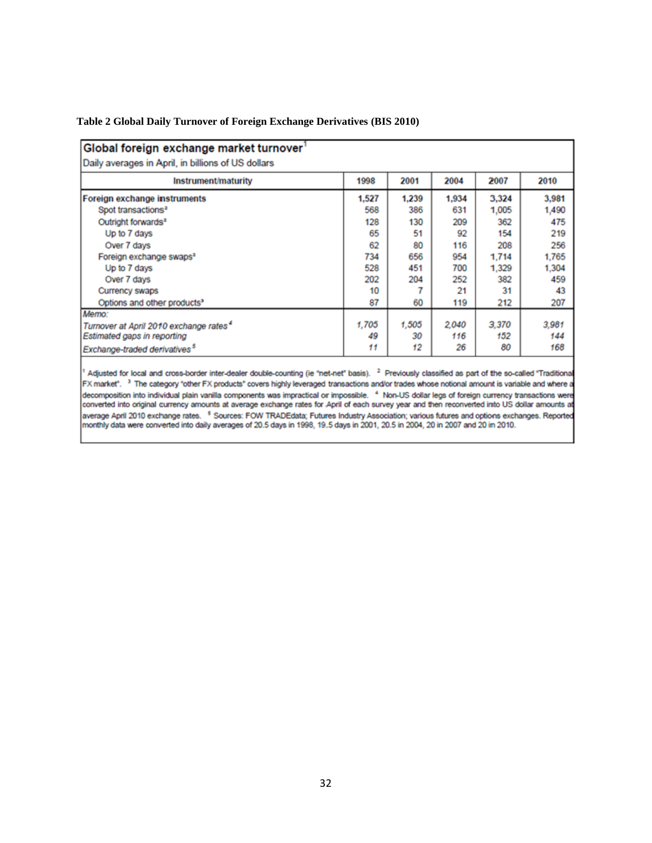| Table 2 Global Daily Turnover of Foreign Exchange Derivatives (BIS 2010) |  |  |  |
|--------------------------------------------------------------------------|--|--|--|
|                                                                          |  |  |  |

| Global foreign exchange market turnover            |       |       |       |       |       |
|----------------------------------------------------|-------|-------|-------|-------|-------|
| Daily averages in April, in billions of US dollars |       |       |       |       |       |
| Instrument/maturity                                | 1998  | 2001  | 2004  | 2007  | 2010  |
| Foreign exchange instruments                       | 1.527 | 1.239 | 1,934 | 3.324 | 3,981 |
| Spot transactions <sup>2</sup>                     | 568   | 386   | 631   | 1,005 | 1,490 |
| Outright forwards <sup>2</sup>                     | 128   | 130   | 209   | 362   | 475   |
| Up to 7 days                                       | 65    | 51    | 92    | 154   | 219   |
| Over 7 days                                        | 62    | 80    | 116   | 208   | 256   |
| Foreign exchange swaps <sup>2</sup>                | 734   | 656   | 954   | 1.714 | 1,765 |
| Up to 7 days                                       | 528   | 451   | 700   | 1.329 | 1.304 |
| Over 7 days                                        | 202   | 204   | 252   | 382   | 459   |
| Currency swaps                                     | 10    |       | 21    | 31    | 43    |
| Options and other products <sup>3</sup>            | 87    | 60    | 119   | 212   | 207   |
| Memo:                                              |       |       |       |       |       |
| Turnover at April 2010 exchange rates <sup>4</sup> | 1,705 | 1,505 | 2,040 | 3,370 | 3,981 |
| Estimated gaps in reporting                        | 49    | 30    | 116   | 152   | 144   |
| Exchange-traded derivatives <sup>5</sup>           | 11    | 12    | 26    | 80    | 168   |

<span id="page-38-0"></span><sup>1</sup> Adjusted for local and cross-border inter-dealer double-counting (ie "net-net" basis). <sup>2</sup> Previously classified as part of the so-called "Traditional FX market". <sup>3</sup> The category "other FX products" covers highly leveraged transactions and/or trades whose notional amount is variable and where a decomposition into individual plain vanilla components was impractical or impossible. 4 Non-US dollar legs of foreign currency transactions were converted into original currency amounts at average exchange rates for April of each survey year and then reconverted into US dollar amounts at average April 2010 exchange rates. <sup>5</sup> Sources: FOW TRADEdata; Futures Industry Association; various futures and options exchanges. Reported monthly data were converted into daily averages of 20.5 days in 1998, 19.5 days i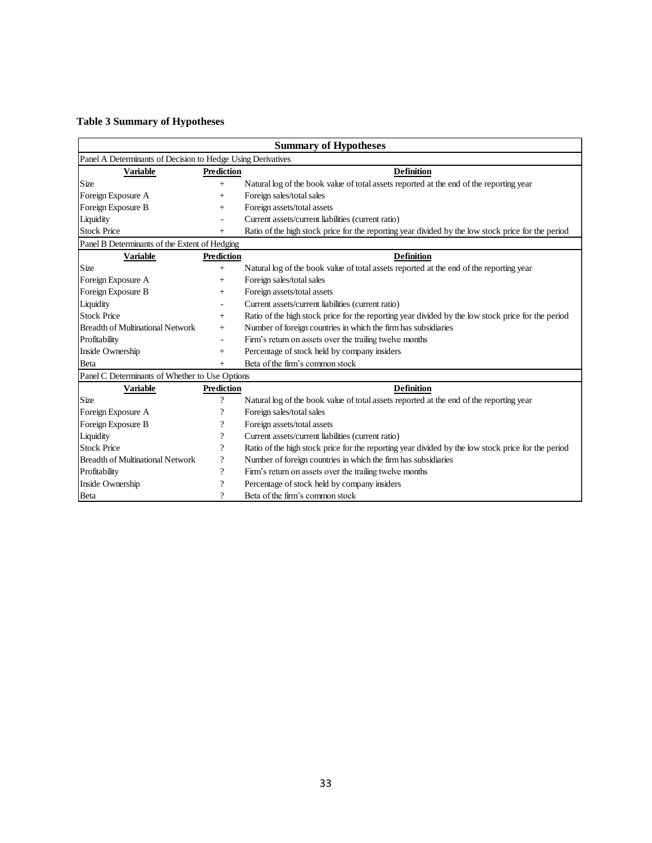#### **Table 3 Summary of Hypotheses**

| <b>Summary of Hypotheses</b>                                |                            |                                                                                                    |  |  |  |  |
|-------------------------------------------------------------|----------------------------|----------------------------------------------------------------------------------------------------|--|--|--|--|
| Panel A Determinants of Decision to Hedge Using Derivatives |                            |                                                                                                    |  |  |  |  |
| <b>Variable</b>                                             | <b>Prediction</b>          | <b>Definition</b>                                                                                  |  |  |  |  |
| Size                                                        | $+$                        | Natural log of the book value of total assets reported at the end of the reporting year            |  |  |  |  |
| Foreign Exposure A                                          | $+$                        | Foreign sales/total sales                                                                          |  |  |  |  |
| Foreign Exposure B                                          | $^+$                       | Foreign assets/total assets                                                                        |  |  |  |  |
| Liquidity                                                   |                            | Current assets/current liabilities (current ratio)                                                 |  |  |  |  |
| <b>Stock Price</b>                                          |                            | Ratio of the high stock price for the reporting year divided by the low stock price for the period |  |  |  |  |
| Panel B Determinants of the Extent of Hedging               |                            |                                                                                                    |  |  |  |  |
| <b>Variable</b>                                             | <b>Prediction</b>          | <b>Definition</b>                                                                                  |  |  |  |  |
| Size                                                        | $^{+}$                     | Natural log of the book value of total assets reported at the end of the reporting year            |  |  |  |  |
| Foreign Exposure A                                          | $^{+}$                     | Foreign sales/total sales                                                                          |  |  |  |  |
| Foreign Exposure B                                          | $^{+}$                     | Foreign assets/total assets                                                                        |  |  |  |  |
| Liquidity                                                   |                            | Current assets/current liabilities (current ratio)                                                 |  |  |  |  |
| <b>Stock Price</b>                                          | $+$                        | Ratio of the high stock price for the reporting year divided by the low stock price for the period |  |  |  |  |
| <b>Breadth of Multinational Network</b>                     | $^{+}$                     | Number of foreign countries in which the firm has subsidiaries                                     |  |  |  |  |
| Profitability                                               | $\sim$                     | Firm's return on assets over the trailing twelve months                                            |  |  |  |  |
| Inside Ownership                                            | $+$                        | Percentage of stock held by company insiders                                                       |  |  |  |  |
| Beta                                                        | $^{+}$                     | Beta of the firm's common stock                                                                    |  |  |  |  |
| Panel C Determinants of Whether to Use Options              |                            |                                                                                                    |  |  |  |  |
| <b>Variable</b>                                             | Prediction                 | <b>Definition</b>                                                                                  |  |  |  |  |
| Size                                                        | $\overline{\cdot}$         | Natural log of the book value of total assets reported at the end of the reporting year            |  |  |  |  |
| Foreign Exposure A                                          | ?                          | Foreign sales/total sales                                                                          |  |  |  |  |
| Foreign Exposure B                                          | ?                          | Foreign assets/total assets                                                                        |  |  |  |  |
| Liquidity                                                   | $\overline{\cdot}$         | Current assets/current liabilities (current ratio)                                                 |  |  |  |  |
| <b>Stock Price</b>                                          | $\overline{\cdot}$         | Ratio of the high stock price for the reporting year divided by the low stock price for the period |  |  |  |  |
| <b>Breadth of Multinational Network</b>                     | $\boldsymbol{\mathcal{P}}$ | Number of foreign countries in which the firm has subsidiaries                                     |  |  |  |  |
| Profitability                                               | $\overline{\cdot}$         | Firm's return on assets over the trailing twelve months                                            |  |  |  |  |
| Inside Ownership                                            | $\boldsymbol{\mathcal{P}}$ | Percentage of stock held by company insiders                                                       |  |  |  |  |
| Beta                                                        | $\gamma$                   | Beta of the firm's common stock                                                                    |  |  |  |  |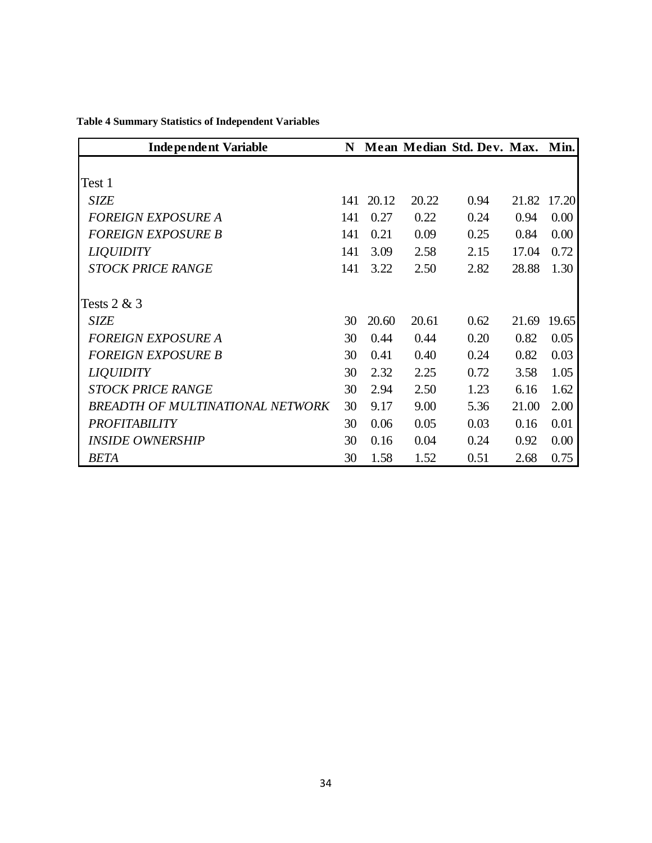| <b>Independent Variable</b>      | N   |       |       | Mean Median Std. Dev. Max. Min. |       |             |
|----------------------------------|-----|-------|-------|---------------------------------|-------|-------------|
|                                  |     |       |       |                                 |       |             |
| Test 1                           |     |       |       |                                 |       |             |
| <b>SIZE</b>                      | 141 | 20.12 | 20.22 | 0.94                            |       | 21.82 17.20 |
| <b>FOREIGN EXPOSURE A</b>        | 141 | 0.27  | 0.22  | 0.24                            | 0.94  | 0.00        |
| <b>FOREIGN EXPOSURE B</b>        | 141 | 0.21  | 0.09  | 0.25                            | 0.84  | 0.00        |
| <b>LIQUIDITY</b>                 | 141 | 3.09  | 2.58  | 2.15                            | 17.04 | 0.72        |
| <b>STOCK PRICE RANGE</b>         | 141 | 3.22  | 2.50  | 2.82                            | 28.88 | 1.30        |
|                                  |     |       |       |                                 |       |             |
| Tests $2 & 3$                    |     |       |       |                                 |       |             |
| SIZE                             | 30  | 20.60 | 20.61 | 0.62                            | 21.69 | 19.65       |
| <b>FOREIGN EXPOSURE A</b>        | 30  | 0.44  | 0.44  | 0.20                            | 0.82  | 0.05        |
| <b>FOREIGN EXPOSURE B</b>        | 30  | 0.41  | 0.40  | 0.24                            | 0.82  | 0.03        |
| <b>LIQUIDITY</b>                 | 30  | 2.32  | 2.25  | 0.72                            | 3.58  | 1.05        |
| <b>STOCK PRICE RANGE</b>         | 30  | 2.94  | 2.50  | 1.23                            | 6.16  | 1.62        |
| BREADTH OF MULTINATIONAL NETWORK | 30  | 9.17  | 9.00  | 5.36                            | 21.00 | 2.00        |
| <b>PROFITABILITY</b>             | 30  | 0.06  | 0.05  | 0.03                            | 0.16  | 0.01        |
| <b>INSIDE OWNERSHIP</b>          | 30  | 0.16  | 0.04  | 0.24                            | 0.92  | 0.00        |
| <b>BETA</b>                      | 30  | 1.58  | 1.52  | 0.51                            | 2.68  | 0.75        |

<span id="page-40-0"></span>**Table 4 Summary Statistics of Independent Variables**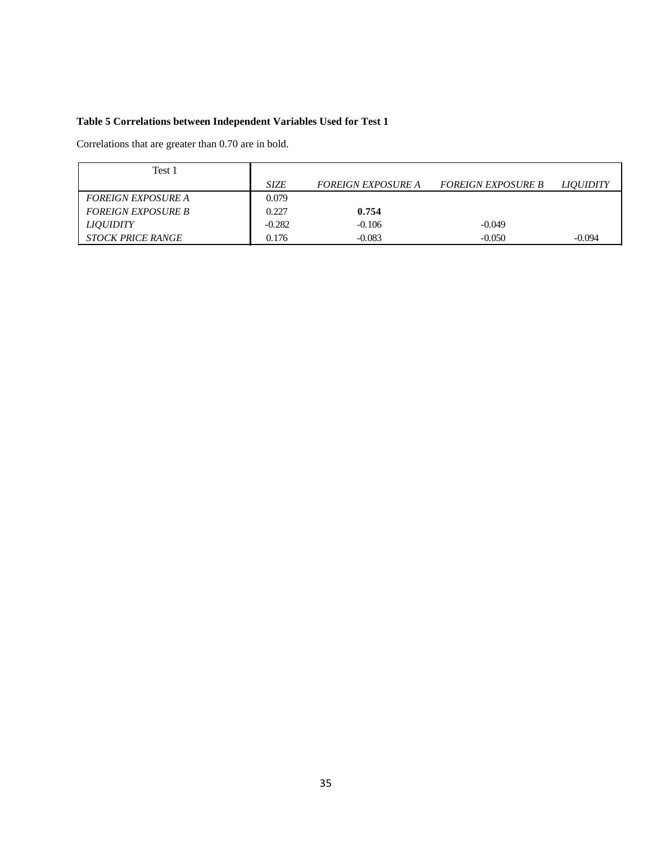#### <span id="page-41-0"></span>**Table 5 Correlations between Independent Variables Used for Test 1**

Correlations that are greater than 0.70 are in bold.

| Test 1                    |             |                           |                           |                  |
|---------------------------|-------------|---------------------------|---------------------------|------------------|
|                           | <b>SIZE</b> | <b>FOREIGN EXPOSURE A</b> | <b>FOREIGN EXPOSURE B</b> | <i>LIOUIDITY</i> |
| <b>FOREIGN EXPOSURE A</b> | 0.079       |                           |                           |                  |
| <b>FOREIGN EXPOSURE B</b> | 0.227       | 0.754                     |                           |                  |
| <b>LIOUIDITY</b>          | $-0.282$    | $-0.106$                  | $-0.049$                  |                  |
| <b>STOCK PRICE RANGE</b>  | 0.176       | $-0.083$                  | $-0.050$                  | $-0.094$         |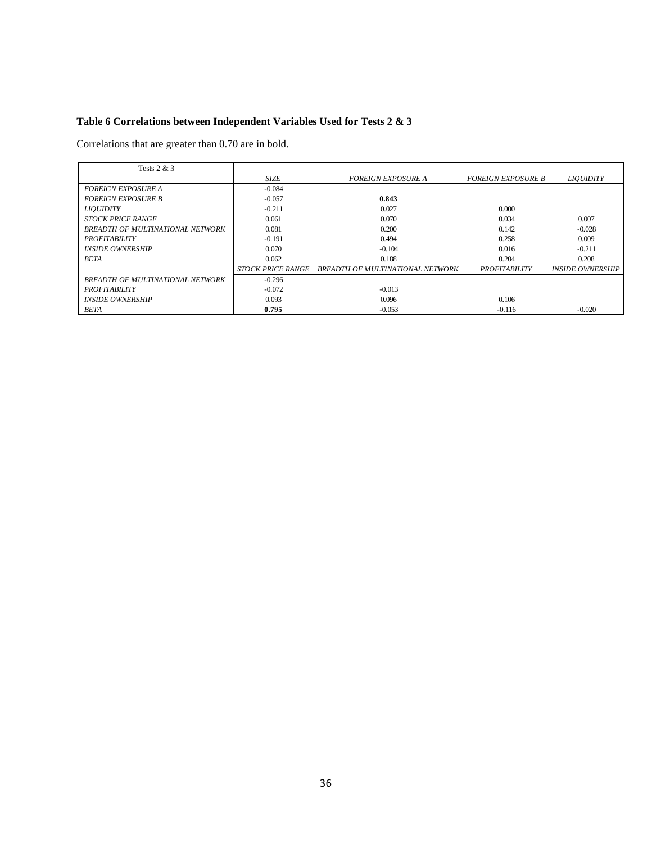#### <span id="page-42-0"></span>**Table 6 Correlations between Independent Variables Used for Tests 2 & 3**

Correlations that are greater than 0.70 are in bold.

| Tests $2 & 3$                           |                          |                                  |                           |                         |
|-----------------------------------------|--------------------------|----------------------------------|---------------------------|-------------------------|
|                                         | <b>SIZE</b>              | <i>FOREIGN EXPOSURE A</i>        | <b>FOREIGN EXPOSURE B</b> | <b>LIOUIDITY</b>        |
| <b>FOREIGN EXPOSURE A</b>               | $-0.084$                 |                                  |                           |                         |
| <b>FOREIGN EXPOSURE B</b>               | $-0.057$                 | 0.843                            |                           |                         |
| <b>LIOUIDITY</b>                        | $-0.211$                 | 0.027                            | 0.000                     |                         |
| <b>STOCK PRICE RANGE</b>                | 0.061                    | 0.070                            | 0.034                     | 0.007                   |
| <b>BREADTH OF MULTINATIONAL NETWORK</b> | 0.081                    | 0.200                            | 0.142                     | $-0.028$                |
| <b>PROFITABILITY</b>                    | $-0.191$                 | 0.494                            | 0.258                     | 0.009                   |
| <b>INSIDE OWNERSHIP</b>                 | 0.070                    | $-0.104$                         | 0.016                     | $-0.211$                |
| <b>BETA</b>                             | 0.062                    | 0.188                            | 0.204                     | 0.208                   |
|                                         | <b>STOCK PRICE RANGE</b> | BREADTH OF MULTINATIONAL NETWORK | <b>PROFITABILITY</b>      | <b>INSIDE OWNERSHIP</b> |
| <b>BREADTH OF MULTINATIONAL NETWORK</b> | $-0.296$                 |                                  |                           |                         |
| <b>PROFITABILITY</b>                    | $-0.072$                 | $-0.013$                         |                           |                         |
| <b>INSIDE OWNERSHIP</b>                 | 0.093                    | 0.096                            | 0.106                     |                         |
| <b>BETA</b>                             | 0.795                    | $-0.053$                         | $-0.116$                  | $-0.020$                |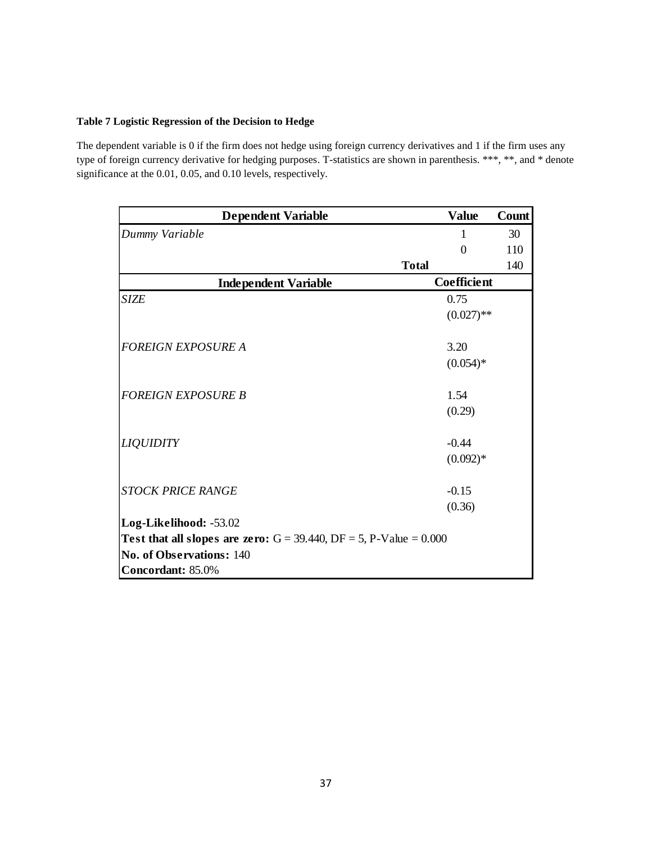#### <span id="page-43-0"></span>**Table 7 Logistic Regression of the Decision to Hedge**

The dependent variable is 0 if the firm does not hedge using foreign currency derivatives and 1 if the firm uses any type of foreign currency derivative for hedging purposes. T-statistics are shown in parenthesis. \*\*\*, \*\*, and \* denote significance at the 0.01, 0.05, and 0.10 levels, respectively.

| <b>Dependent Variable</b>                                                       | <b>Value</b> | Count |
|---------------------------------------------------------------------------------|--------------|-------|
| Dummy Variable                                                                  | 1            | 30    |
|                                                                                 | $\Omega$     | 110   |
|                                                                                 | <b>Total</b> | 140   |
| <b>Independent Variable</b>                                                     | Coefficient  |       |
| <b>SIZE</b>                                                                     | 0.75         |       |
|                                                                                 | $(0.027)$ ** |       |
| <b>FOREIGN EXPOSURE A</b>                                                       | 3.20         |       |
|                                                                                 | $(0.054)*$   |       |
| <b>FOREIGN EXPOSURE B</b>                                                       | 1.54         |       |
|                                                                                 | (0.29)       |       |
| <b>LIQUIDITY</b>                                                                | $-0.44$      |       |
|                                                                                 | $(0.092)*$   |       |
| <b>STOCK PRICE RANGE</b>                                                        | $-0.15$      |       |
|                                                                                 | (0.36)       |       |
| Log-Likelihood: -53.02                                                          |              |       |
| <b>Test that all slopes are zero:</b> $G = 39.440$ , $DF = 5$ , P-Value = 0.000 |              |       |
| No. of Observations: 140                                                        |              |       |
| Concordant: 85.0%                                                               |              |       |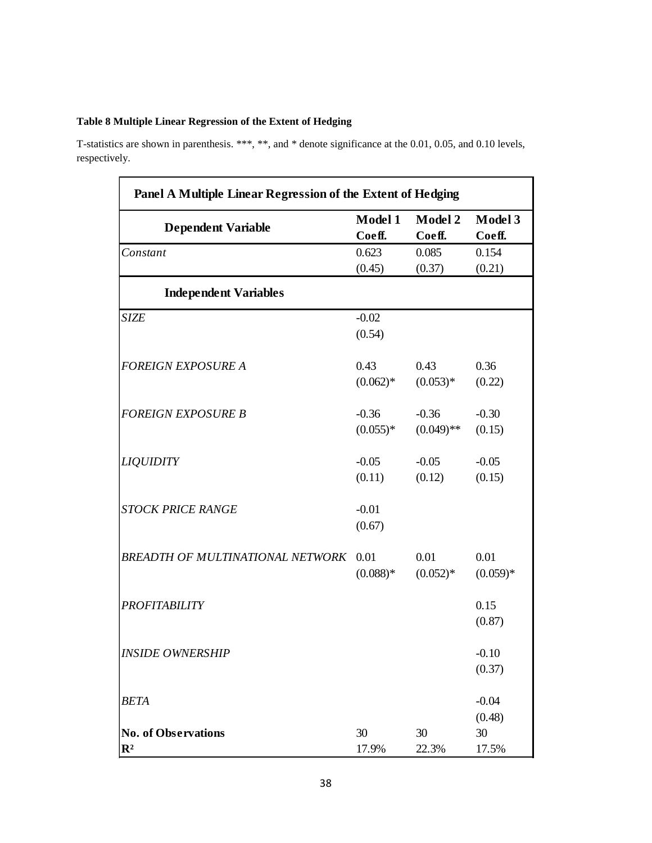#### <span id="page-44-0"></span>**Table 8 Multiple Linear Regression of the Extent of Hedging**

T-statistics are shown in parenthesis. \*\*\*, \*\*, and \* denote significance at the 0.01, 0.05, and 0.10 levels, respectively.

| Panel A Multiple Linear Regression of the Extent of Hedging |            |              |            |  |  |  |
|-------------------------------------------------------------|------------|--------------|------------|--|--|--|
|                                                             | Model 1    | Model 2      | Model 3    |  |  |  |
| <b>Dependent Variable</b>                                   | Coeff.     | Coeff.       | Coeff.     |  |  |  |
| Constant                                                    | 0.623      | 0.085        | 0.154      |  |  |  |
|                                                             | (0.45)     | (0.37)       | (0.21)     |  |  |  |
| <b>Independent Variables</b>                                |            |              |            |  |  |  |
| <b>SIZE</b>                                                 | $-0.02$    |              |            |  |  |  |
|                                                             | (0.54)     |              |            |  |  |  |
| <b>FOREIGN EXPOSURE A</b>                                   | 0.43       | 0.43         | 0.36       |  |  |  |
|                                                             | $(0.062)*$ | $(0.053)*$   | (0.22)     |  |  |  |
| <b>FOREIGN EXPOSURE B</b>                                   | $-0.36$    | $-0.36$      | $-0.30$    |  |  |  |
|                                                             | $(0.055)*$ | $(0.049)$ ** | (0.15)     |  |  |  |
| <b>LIQUIDITY</b>                                            | $-0.05$    | $-0.05$      | $-0.05$    |  |  |  |
|                                                             | (0.11)     | (0.12)       | (0.15)     |  |  |  |
| <b>STOCK PRICE RANGE</b>                                    | $-0.01$    |              |            |  |  |  |
|                                                             | (0.67)     |              |            |  |  |  |
| BREADTH OF MULTINATIONAL NETWORK                            | 0.01       | 0.01         | 0.01       |  |  |  |
|                                                             | $(0.088)*$ | $(0.052)*$   | $(0.059)*$ |  |  |  |
| <b>PROFITABILITY</b>                                        |            |              | 0.15       |  |  |  |
|                                                             |            |              | (0.87)     |  |  |  |
| <b>INSIDE OWNERSHIP</b>                                     |            |              | $-0.10$    |  |  |  |
|                                                             |            |              | (0.37)     |  |  |  |
| <b>BETA</b>                                                 |            |              | $-0.04$    |  |  |  |
|                                                             |            |              | (0.48)     |  |  |  |
| <b>No. of Observations</b>                                  | 30         | 30           | 30         |  |  |  |
| $\mathbb{R}^2$                                              | 17.9%      | 22.3%        | 17.5%      |  |  |  |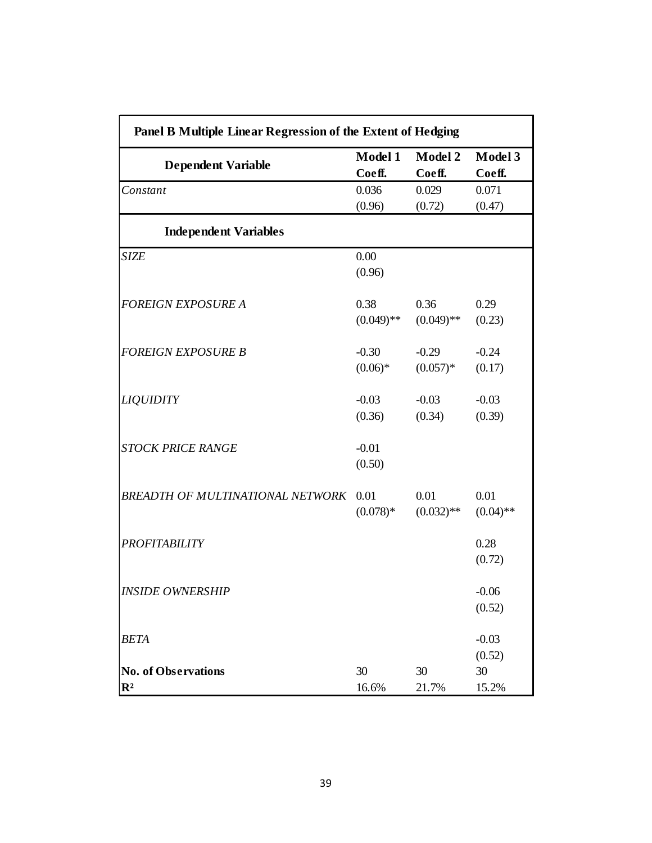| Panel B Multiple Linear Regression of the Extent of Hedging |                   |                   |                   |  |  |  |  |
|-------------------------------------------------------------|-------------------|-------------------|-------------------|--|--|--|--|
| <b>Dependent Variable</b>                                   | Model 1<br>Coeff. | Model 2<br>Coeff. | Model 3<br>Coeff. |  |  |  |  |
| Constant                                                    | 0.036             | 0.029             | 0.071             |  |  |  |  |
|                                                             | (0.96)            | (0.72)            | (0.47)            |  |  |  |  |
| <b>Independent Variables</b>                                |                   |                   |                   |  |  |  |  |
| <b>SIZE</b>                                                 | 0.00              |                   |                   |  |  |  |  |
|                                                             | (0.96)            |                   |                   |  |  |  |  |
| <b>FOREIGN EXPOSURE A</b>                                   | 0.38              | 0.36              | 0.29              |  |  |  |  |
|                                                             | $(0.049)$ **      | $(0.049)$ **      | (0.23)            |  |  |  |  |
| <b>FOREIGN EXPOSURE B</b>                                   | $-0.30$           | $-0.29$           | $-0.24$           |  |  |  |  |
|                                                             | $(0.06)*$         | $(0.057)*$        | (0.17)            |  |  |  |  |
| <b>LIQUIDITY</b>                                            | $-0.03$           | $-0.03$           | $-0.03$           |  |  |  |  |
|                                                             | (0.36)            | (0.34)            | (0.39)            |  |  |  |  |
| <b>STOCK PRICE RANGE</b>                                    | $-0.01$           |                   |                   |  |  |  |  |
|                                                             | (0.50)            |                   |                   |  |  |  |  |
| <b>BREADTH OF MULTINATIONAL NETWORK</b>                     | 0.01              | 0.01              | 0.01              |  |  |  |  |
|                                                             | $(0.078)*$        | $(0.032)$ **      | $(0.04)$ **       |  |  |  |  |
| <b>PROFITABILITY</b>                                        |                   |                   | 0.28              |  |  |  |  |
|                                                             |                   |                   | (0.72)            |  |  |  |  |
| <b>INSIDE OWNERSHIP</b>                                     |                   |                   | $-0.06$           |  |  |  |  |
|                                                             |                   |                   | (0.52)            |  |  |  |  |
| <b>BETA</b>                                                 |                   |                   | $-0.03$           |  |  |  |  |
|                                                             |                   |                   | (0.52)            |  |  |  |  |
| <b>No. of Observations</b>                                  | 30                | 30                | 30                |  |  |  |  |
| $\mathbb{R}^2$                                              | 16.6%             | 21.7%             | 15.2%             |  |  |  |  |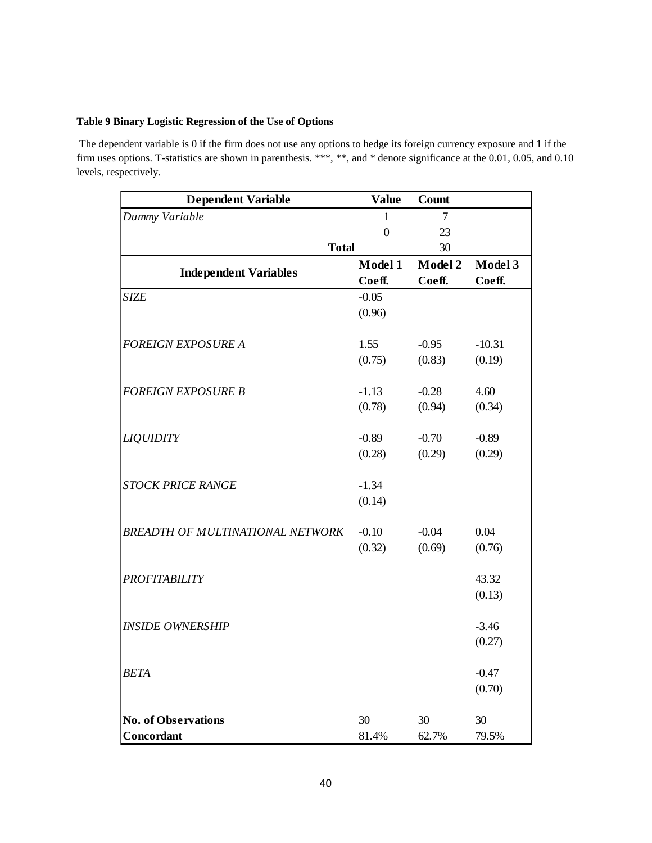#### <span id="page-46-0"></span>**Table 9 Binary Logistic Regression of the Use of Options**

The dependent variable is 0 if the firm does not use any options to hedge its foreign currency exposure and 1 if the firm uses options. T-statistics are shown in parenthesis. \*\*\*, \*\*, and \* denote significance at the 0.01, 0.05, and 0.10 levels, respectively.

| <b>Dependent Variable</b>        | <b>Value</b>   | Count   |          |
|----------------------------------|----------------|---------|----------|
| Dummy Variable                   | 1              | 7       |          |
|                                  | $\overline{0}$ | 23      |          |
| <b>Total</b>                     |                | 30      |          |
| <b>Independent Variables</b>     | Model 1        | Model 2 | Model 3  |
|                                  | Coeff.         | Coeff.  | Coeff.   |
| <b>SIZE</b>                      | $-0.05$        |         |          |
|                                  | (0.96)         |         |          |
| <b>FOREIGN EXPOSURE A</b>        | 1.55           | $-0.95$ | $-10.31$ |
|                                  | (0.75)         | (0.83)  | (0.19)   |
|                                  |                |         |          |
| <b>FOREIGN EXPOSURE B</b>        | $-1.13$        | $-0.28$ | 4.60     |
|                                  | (0.78)         | (0.94)  | (0.34)   |
|                                  |                |         |          |
| <b>LIQUIDITY</b>                 | $-0.89$        | $-0.70$ | $-0.89$  |
|                                  | (0.28)         | (0.29)  | (0.29)   |
|                                  |                |         |          |
| <b>STOCK PRICE RANGE</b>         | $-1.34$        |         |          |
|                                  | (0.14)         |         |          |
|                                  |                |         |          |
| BREADTH OF MULTINATIONAL NETWORK | $-0.10$        | $-0.04$ | 0.04     |
|                                  | (0.32)         | (0.69)  | (0.76)   |
|                                  |                |         |          |
| <b>PROFITABILITY</b>             |                |         | 43.32    |
|                                  |                |         | (0.13)   |
|                                  |                |         |          |
| <b>INSIDE OWNERSHIP</b>          |                |         | $-3.46$  |
|                                  |                |         | (0.27)   |
| <b>BETA</b>                      |                |         | $-0.47$  |
|                                  |                |         | (0.70)   |
|                                  |                |         |          |
| <b>No. of Observations</b>       | 30             | 30      | 30       |
| Concordant                       | 81.4%          | 62.7%   | 79.5%    |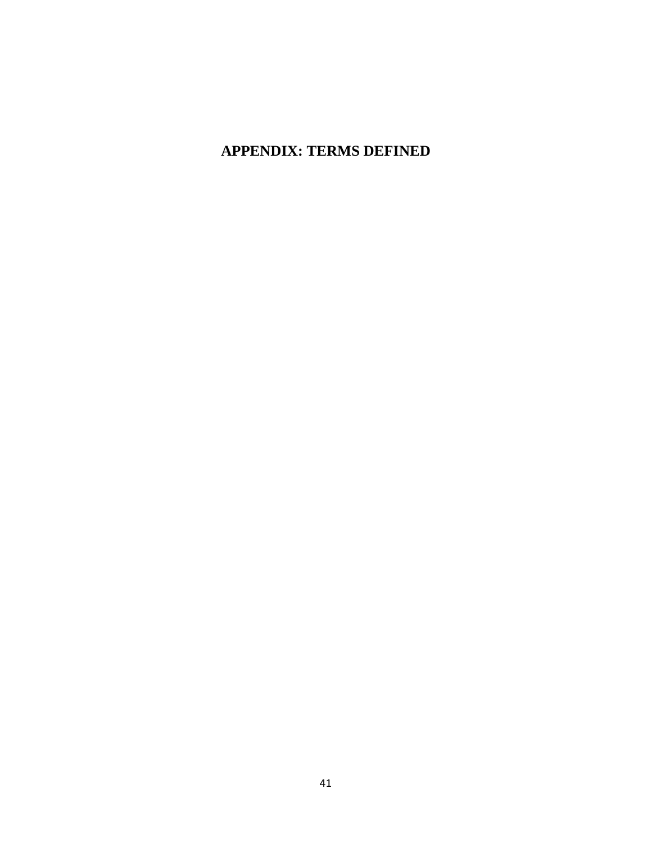# **APPENDIX: TERMS DEFINED**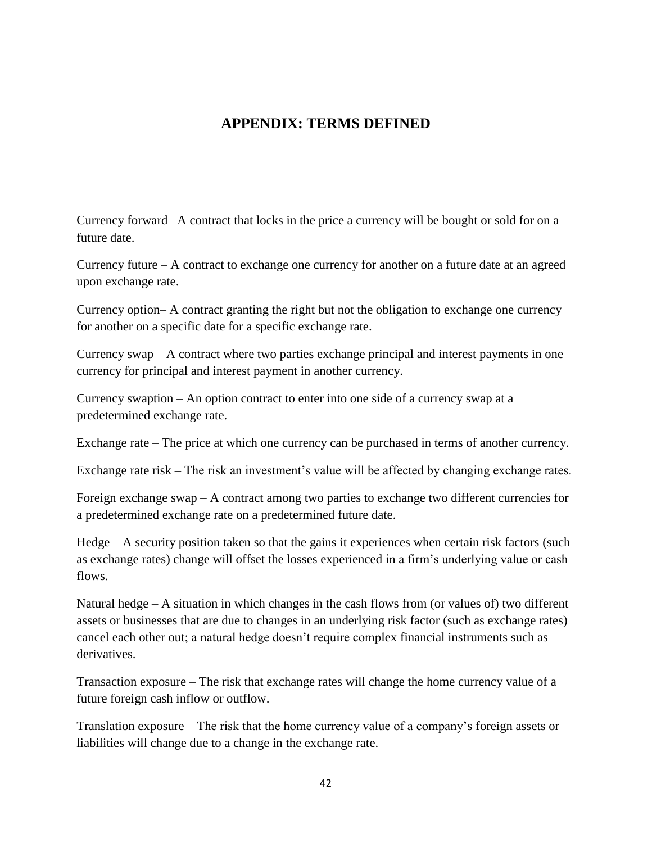### **APPENDIX: TERMS DEFINED**

<span id="page-48-0"></span>Currency forward– A contract that locks in the price a currency will be bought or sold for on a future date.

Currency future – A contract to exchange one currency for another on a future date at an agreed upon exchange rate.

Currency option– A contract granting the right but not the obligation to exchange one currency for another on a specific date for a specific exchange rate.

Currency swap – A contract where two parties exchange principal and interest payments in one currency for principal and interest payment in another currency.

Currency swaption – An option contract to enter into one side of a currency swap at a predetermined exchange rate.

Exchange rate – The price at which one currency can be purchased in terms of another currency.

Exchange rate risk – The risk an investment's value will be affected by changing exchange rates.

Foreign exchange swap  $- A$  contract among two parties to exchange two different currencies for a predetermined exchange rate on a predetermined future date.

Hedge – A security position taken so that the gains it experiences when certain risk factors (such as exchange rates) change will offset the losses experienced in a firm"s underlying value or cash flows.

Natural hedge – A situation in which changes in the cash flows from (or values of) two different assets or businesses that are due to changes in an underlying risk factor (such as exchange rates) cancel each other out; a natural hedge doesn"t require complex financial instruments such as derivatives.

Transaction exposure – The risk that exchange rates will change the home currency value of a future foreign cash inflow or outflow.

Translation exposure – The risk that the home currency value of a company"s foreign assets or liabilities will change due to a change in the exchange rate.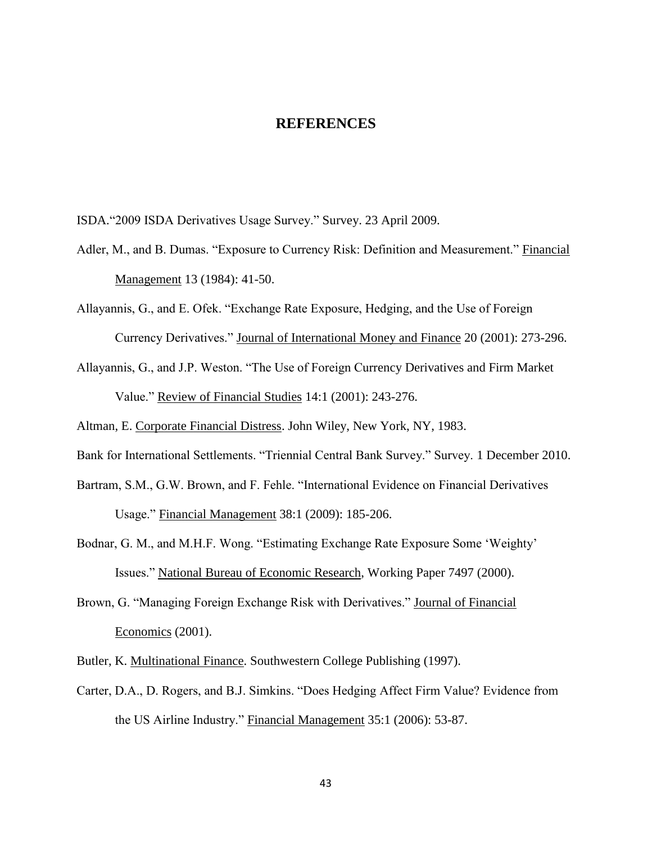#### **REFERENCES**

<span id="page-49-0"></span>ISDA."2009 ISDA Derivatives Usage Survey." Survey. 23 April 2009.

- Adler, M., and B. Dumas. "Exposure to Currency Risk: Definition and Measurement." Financial Management 13 (1984): 41-50.
- Allayannis, G., and E. Ofek. "Exchange Rate Exposure, Hedging, and the Use of Foreign Currency Derivatives." Journal of International Money and Finance 20 (2001): 273-296.
- Allayannis, G., and J.P. Weston. "The Use of Foreign Currency Derivatives and Firm Market Value." Review of Financial Studies 14:1 (2001): 243-276.

Altman, E. Corporate Financial Distress. John Wiley, New York, NY, 1983.

Bank for International Settlements. "Triennial Central Bank Survey." Survey. 1 December 2010.

- Bartram, S.M., G.W. Brown, and F. Fehle. "International Evidence on Financial Derivatives Usage." Financial Management 38:1 (2009): 185-206.
- Bodnar, G. M., and M.H.F. Wong. "Estimating Exchange Rate Exposure Some "Weighty" Issues." National Bureau of Economic Research, Working Paper 7497 (2000).
- Brown, G. "Managing Foreign Exchange Risk with Derivatives." Journal of Financial Economics (2001).
- Butler, K. Multinational Finance. Southwestern College Publishing (1997).
- Carter, D.A., D. Rogers, and B.J. Simkins. "Does Hedging Affect Firm Value? Evidence from the US Airline Industry." Financial Management 35:1 (2006): 53-87.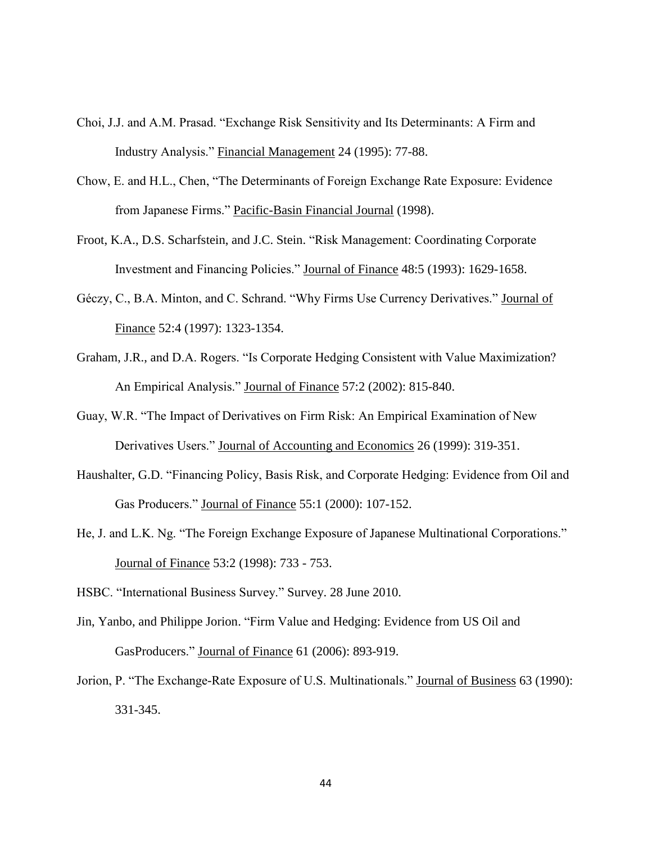- Choi, J.J. and A.M. Prasad. "Exchange Risk Sensitivity and Its Determinants: A Firm and Industry Analysis." Financial Management 24 (1995): 77-88.
- Chow, E. and H.L., Chen, "The Determinants of Foreign Exchange Rate Exposure: Evidence from Japanese Firms." Pacific-Basin Financial Journal (1998).
- Froot, K.A., D.S. Scharfstein, and J.C. Stein. "Risk Management: Coordinating Corporate Investment and Financing Policies." Journal of Finance 48:5 (1993): 1629-1658.
- Géczy, C., B.A. Minton, and C. Schrand. "Why Firms Use Currency Derivatives." Journal of Finance 52:4 (1997): 1323-1354.
- Graham, J.R., and D.A. Rogers. "Is Corporate Hedging Consistent with Value Maximization? An Empirical Analysis." Journal of Finance 57:2 (2002): 815-840.
- Guay, W.R. "The Impact of Derivatives on Firm Risk: An Empirical Examination of New Derivatives Users." Journal of Accounting and Economics 26 (1999): 319-351.
- Haushalter, G.D. "Financing Policy, Basis Risk, and Corporate Hedging: Evidence from Oil and Gas Producers." Journal of Finance 55:1 (2000): 107-152.
- He, J. and L.K. Ng. "The Foreign Exchange Exposure of Japanese Multinational Corporations." Journal of Finance 53:2 (1998): 733 - 753.
- HSBC. "International Business Survey." Survey. 28 June 2010.
- Jin, Yanbo, and Philippe Jorion. "Firm Value and Hedging: Evidence from US Oil and GasProducers." Journal of Finance 61 (2006): 893-919.
- Jorion, P. "The Exchange-Rate Exposure of U.S. Multinationals." Journal of Business 63 (1990): 331-345.